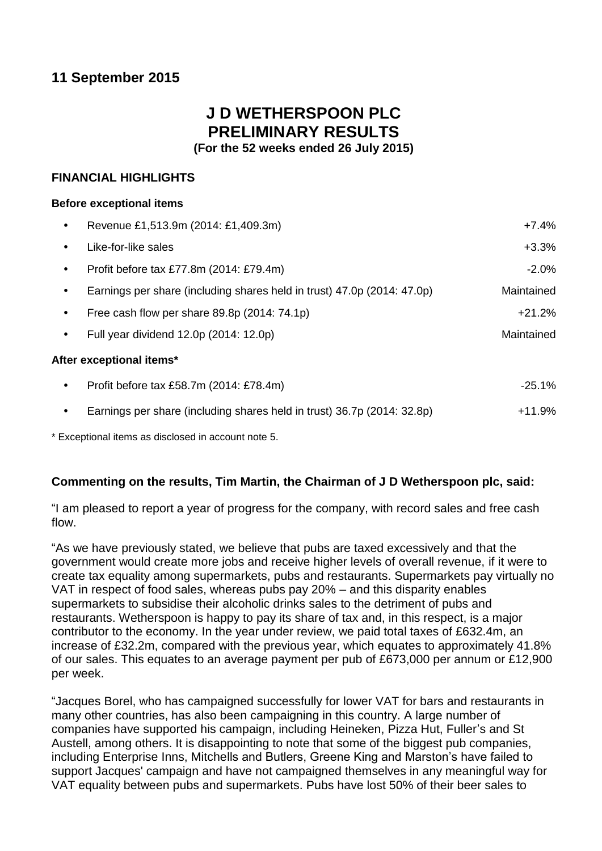# **11 September 2015**

# **J D WETHERSPOON PLC PRELIMINARY RESULTS (For the 52 weeks ended 26 July 2015)**

# **FINANCIAL HIGHLIGHTS**

# **Before exceptional items**

|           | Revenue £1,513.9m (2014: £1,409.3m)                                     | $+7.4%$    |
|-----------|-------------------------------------------------------------------------|------------|
| $\bullet$ | Like-for-like sales                                                     | $+3.3%$    |
| $\bullet$ | Profit before tax £77.8m (2014: £79.4m)                                 | $-2.0%$    |
| $\bullet$ | Earnings per share (including shares held in trust) 47.0p (2014: 47.0p) | Maintained |
| $\bullet$ | Free cash flow per share $89.8p$ (2014: 74.1p)                          | $+21.2%$   |
| $\bullet$ | Full year dividend 12.0p (2014: 12.0p)                                  | Maintained |
|           | After exceptional items*                                                |            |
| $\bullet$ | Profit before tax £58.7m (2014: £78.4m)                                 | $-25.1%$   |
| $\bullet$ | Earnings per share (including shares held in trust) 36.7p (2014: 32.8p) | $+11.9%$   |
|           |                                                                         |            |

\* Exceptional items as disclosed in account note 5.

# **Commenting on the results, Tim Martin, the Chairman of J D Wetherspoon plc, said:**

"I am pleased to report a year of progress for the company, with record sales and free cash flow.

"As we have previously stated, we believe that pubs are taxed excessively and that the government would create more jobs and receive higher levels of overall revenue, if it were to create tax equality among supermarkets, pubs and restaurants. Supermarkets pay virtually no VAT in respect of food sales, whereas pubs pay 20% – and this disparity enables supermarkets to subsidise their alcoholic drinks sales to the detriment of pubs and restaurants. Wetherspoon is happy to pay its share of tax and, in this respect, is a major contributor to the economy. In the year under review, we paid total taxes of £632.4m, an increase of £32.2m, compared with the previous year, which equates to approximately 41.8% of our sales. This equates to an average payment per pub of £673,000 per annum or £12,900 per week.

"Jacques Borel, who has campaigned successfully for lower VAT for bars and restaurants in many other countries, has also been campaigning in this country. A large number of companies have supported his campaign, including Heineken, Pizza Hut, Fuller's and St Austell, among others. It is disappointing to note that some of the biggest pub companies, including Enterprise Inns, Mitchells and Butlers, Greene King and Marston's have failed to support Jacques' campaign and have not campaigned themselves in any meaningful way for VAT equality between pubs and supermarkets. Pubs have lost 50% of their beer sales to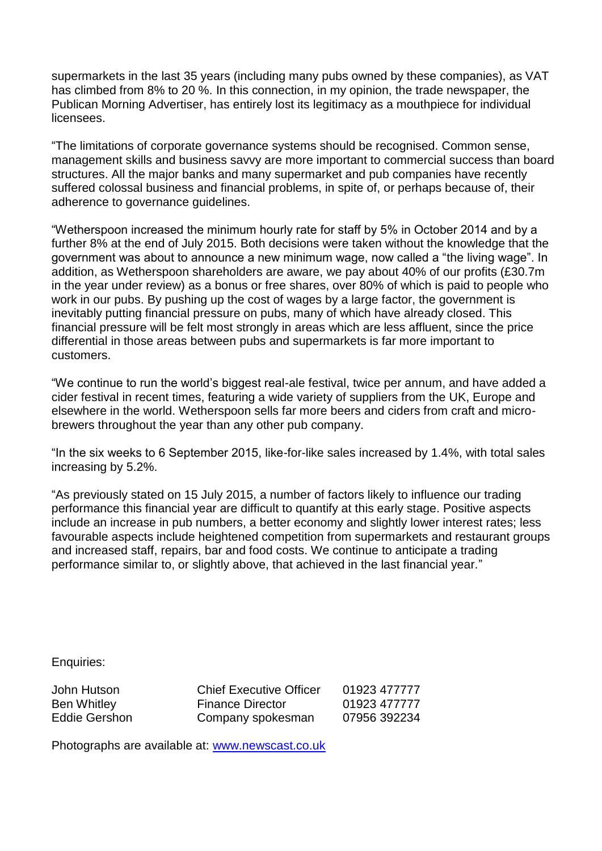supermarkets in the last 35 years (including many pubs owned by these companies), as VAT has climbed from 8% to 20 %. In this connection, in my opinion, the trade newspaper, the Publican Morning Advertiser, has entirely lost its legitimacy as a mouthpiece for individual licensees.

"The limitations of corporate governance systems should be recognised. Common sense, management skills and business savvy are more important to commercial success than board structures. All the major banks and many supermarket and pub companies have recently suffered colossal business and financial problems, in spite of, or perhaps because of, their adherence to governance guidelines.

"Wetherspoon increased the minimum hourly rate for staff by 5% in October 2014 and by a further 8% at the end of July 2015. Both decisions were taken without the knowledge that the government was about to announce a new minimum wage, now called a "the living wage". In addition, as Wetherspoon shareholders are aware, we pay about 40% of our profits (£30.7m in the year under review) as a bonus or free shares, over 80% of which is paid to people who work in our pubs. By pushing up the cost of wages by a large factor, the government is inevitably putting financial pressure on pubs, many of which have already closed. This financial pressure will be felt most strongly in areas which are less affluent, since the price differential in those areas between pubs and supermarkets is far more important to customers.

"We continue to run the world's biggest real-ale festival, twice per annum, and have added a cider festival in recent times, featuring a wide variety of suppliers from the UK, Europe and elsewhere in the world. Wetherspoon sells far more beers and ciders from craft and microbrewers throughout the year than any other pub company.

"In the six weeks to 6 September 2015, like-for-like sales increased by 1.4%, with total sales increasing by 5.2%.

"As previously stated on 15 July 2015, a number of factors likely to influence our trading performance this financial year are difficult to quantify at this early stage. Positive aspects include an increase in pub numbers, a better economy and slightly lower interest rates; less favourable aspects include heightened competition from supermarkets and restaurant groups and increased staff, repairs, bar and food costs. We continue to anticipate a trading performance similar to, or slightly above, that achieved in the last financial year."

Enquiries:

John Hutson Chief Executive Officer 01923 477777 Ben Whitley Finance Director 01923 477777 Eddie Gershon Company spokesman 07956 392234

Photographs are available at: [www.newscast.co.uk](http://www.newscast.co.uk/)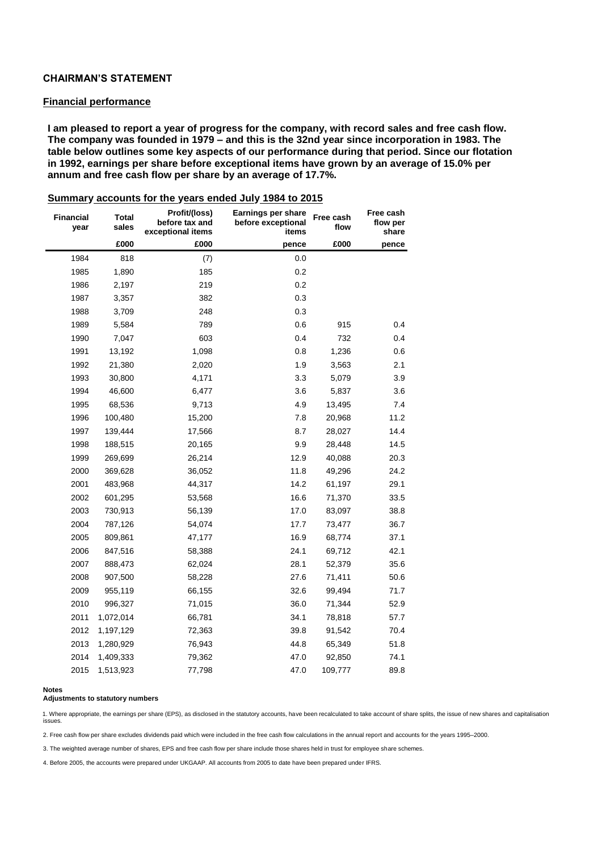#### **CHAIRMAN'S STATEMENT**

#### **Financial performance**

**I am pleased to report a year of progress for the company, with record sales and free cash flow. The company was founded in 1979 – and this is the 32nd year since incorporation in 1983. The table below outlines some key aspects of our performance during that period. Since our flotation in 1992, earnings per share before exceptional items have grown by an average of 15.0% per annum and free cash flow per share by an average of 17.7%.** 

|--|

| Financial<br>year | <b>Total</b><br>sales | Profit/(loss)<br>before tax and<br>exceptional items | Earnings per share<br>before exceptional<br>items | Free cash<br>flow | Free cash<br>flow per<br>share |
|-------------------|-----------------------|------------------------------------------------------|---------------------------------------------------|-------------------|--------------------------------|
|                   | £000                  | £000                                                 | pence                                             | £000              | pence                          |
| 1984              | 818                   | (7)                                                  | 0.0                                               |                   |                                |
| 1985              | 1,890                 | 185                                                  | 0.2                                               |                   |                                |
| 1986              | 2,197                 | 219                                                  | 0.2                                               |                   |                                |
| 1987              | 3,357                 | 382                                                  | 0.3                                               |                   |                                |
| 1988              | 3,709                 | 248                                                  | 0.3                                               |                   |                                |
| 1989              | 5,584                 | 789                                                  | 0.6                                               | 915               | 0.4                            |
| 1990              | 7,047                 | 603                                                  | 0.4                                               | 732               | 0.4                            |
| 1991              | 13,192                | 1,098                                                | 0.8                                               | 1,236             | 0.6                            |
| 1992              | 21,380                | 2,020                                                | 1.9                                               | 3,563             | 2.1                            |
| 1993              | 30,800                | 4,171                                                | 3.3                                               | 5,079             | 3.9                            |
| 1994              | 46,600                | 6,477                                                | 3.6                                               | 5,837             | 3.6                            |
| 1995              | 68,536                | 9,713                                                | 4.9                                               | 13,495            | 7.4                            |
| 1996              | 100,480               | 15,200                                               | 7.8                                               | 20,968            | 11.2                           |
| 1997              | 139,444               | 17,566                                               | 8.7                                               | 28,027            | 14.4                           |
| 1998              | 188,515               | 20,165                                               | 9.9                                               | 28,448            | 14.5                           |
| 1999              | 269,699               | 26,214                                               | 12.9                                              | 40,088            | 20.3                           |
| 2000              | 369,628               | 36,052                                               | 11.8                                              | 49,296            | 24.2                           |
| 2001              | 483,968               | 44,317                                               | 14.2                                              | 61,197            | 29.1                           |
| 2002              | 601,295               | 53,568                                               | 16.6                                              | 71,370            | 33.5                           |
| 2003              | 730,913               | 56,139                                               | 17.0                                              | 83,097            | 38.8                           |
| 2004              | 787,126               | 54,074                                               | 17.7                                              | 73,477            | 36.7                           |
| 2005              | 809,861               | 47,177                                               | 16.9                                              | 68,774            | 37.1                           |
| 2006              | 847,516               | 58,388                                               | 24.1                                              | 69,712            | 42.1                           |
| 2007              | 888,473               | 62,024                                               | 28.1                                              | 52,379            | 35.6                           |
| 2008              | 907,500               | 58,228                                               | 27.6                                              | 71,411            | 50.6                           |
| 2009              | 955,119               | 66,155                                               | 32.6                                              | 99,494            | 71.7                           |
| 2010              | 996,327               | 71,015                                               | 36.0                                              | 71,344            | 52.9                           |
| 2011              | 1,072,014             | 66,781                                               | 34.1                                              | 78,818            | 57.7                           |
| 2012              | 1,197,129             | 72,363                                               | 39.8                                              | 91,542            | 70.4                           |
| 2013              | 1,280,929             | 76,943                                               | 44.8                                              | 65,349            | 51.8                           |
| 2014              | 1,409,333             | 79,362                                               | 47.0                                              | 92,850            | 74.1                           |
| 2015              | 1,513,923             | 77,798                                               | 47.0                                              | 109,777           | 89.8                           |

#### **Notes**

#### **Adjustments to statutory numbers**

1. Where appropriate, the earnings per share (EPS), as disclosed in the statutory accounts, have been recalculated to take account of share splits, the issue of new shares and capitalisation issues.

2. Free cash flow per share excludes dividends paid which were included in the free cash flow calculations in the annual report and accounts for the years 1995–2000.

3. The weighted average number of shares, EPS and free cash flow per share include those shares held in trust for employee share schemes.

4. Before 2005, the accounts were prepared under UKGAAP. All accounts from 2005 to date have been prepared under IFRS.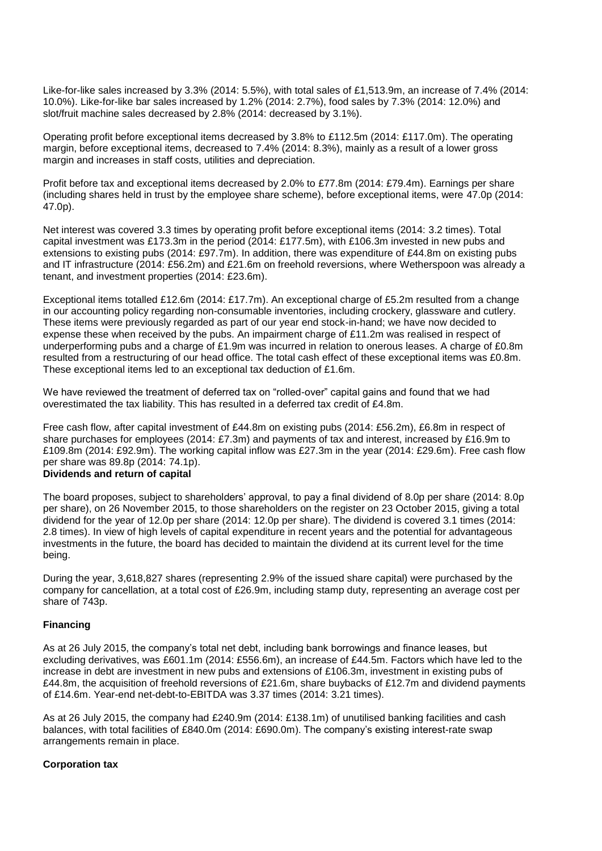Like-for-like sales increased by 3.3% (2014: 5.5%), with total sales of £1,513.9m, an increase of 7.4% (2014: 10.0%). Like-for-like bar sales increased by 1.2% (2014: 2.7%), food sales by 7.3% (2014: 12.0%) and slot/fruit machine sales decreased by 2.8% (2014: decreased by 3.1%).

Operating profit before exceptional items decreased by 3.8% to £112.5m (2014: £117.0m). The operating margin, before exceptional items, decreased to 7.4% (2014: 8.3%), mainly as a result of a lower gross margin and increases in staff costs, utilities and depreciation.

Profit before tax and exceptional items decreased by 2.0% to £77.8m (2014: £79.4m). Earnings per share (including shares held in trust by the employee share scheme), before exceptional items, were 47.0p (2014: 47.0p).

Net interest was covered 3.3 times by operating profit before exceptional items (2014: 3.2 times). Total capital investment was £173.3m in the period (2014: £177.5m), with £106.3m invested in new pubs and extensions to existing pubs (2014: £97.7m). In addition, there was expenditure of £44.8m on existing pubs and IT infrastructure (2014: £56.2m) and £21.6m on freehold reversions, where Wetherspoon was already a tenant, and investment properties (2014: £23.6m).

Exceptional items totalled £12.6m (2014: £17.7m). An exceptional charge of £5.2m resulted from a change in our accounting policy regarding non-consumable inventories, including crockery, glassware and cutlery. These items were previously regarded as part of our year end stock-in-hand; we have now decided to expense these when received by the pubs. An impairment charge of £11.2m was realised in respect of underperforming pubs and a charge of £1.9m was incurred in relation to onerous leases. A charge of £0.8m resulted from a restructuring of our head office. The total cash effect of these exceptional items was £0.8m. These exceptional items led to an exceptional tax deduction of £1.6m.

We have reviewed the treatment of deferred tax on "rolled-over" capital gains and found that we had overestimated the tax liability. This has resulted in a deferred tax credit of £4.8m.

Free cash flow, after capital investment of £44.8m on existing pubs (2014: £56.2m), £6.8m in respect of share purchases for employees (2014: £7.3m) and payments of tax and interest, increased by £16.9m to £109.8m (2014: £92.9m). The working capital inflow was £27.3m in the year (2014: £29.6m). Free cash flow per share was 89.8p (2014: 74.1p).

# **Dividends and return of capital**

The board proposes, subject to shareholders' approval, to pay a final dividend of 8.0p per share (2014: 8.0p per share), on 26 November 2015, to those shareholders on the register on 23 October 2015, giving a total dividend for the year of 12.0p per share (2014: 12.0p per share). The dividend is covered 3.1 times (2014: 2.8 times). In view of high levels of capital expenditure in recent years and the potential for advantageous investments in the future, the board has decided to maintain the dividend at its current level for the time being.

During the year, 3,618,827 shares (representing 2.9% of the issued share capital) were purchased by the company for cancellation, at a total cost of £26.9m, including stamp duty, representing an average cost per share of 743p.

# **Financing**

As at 26 July 2015, the company's total net debt, including bank borrowings and finance leases, but excluding derivatives, was £601.1m (2014: £556.6m), an increase of £44.5m. Factors which have led to the increase in debt are investment in new pubs and extensions of £106.3m, investment in existing pubs of £44.8m, the acquisition of freehold reversions of £21.6m, share buybacks of £12.7m and dividend payments of £14.6m. Year-end net-debt-to-EBITDA was 3.37 times (2014: 3.21 times).

As at 26 July 2015, the company had £240.9m (2014: £138.1m) of unutilised banking facilities and cash balances, with total facilities of £840.0m (2014: £690.0m). The company's existing interest-rate swap arrangements remain in place.

#### **Corporation tax**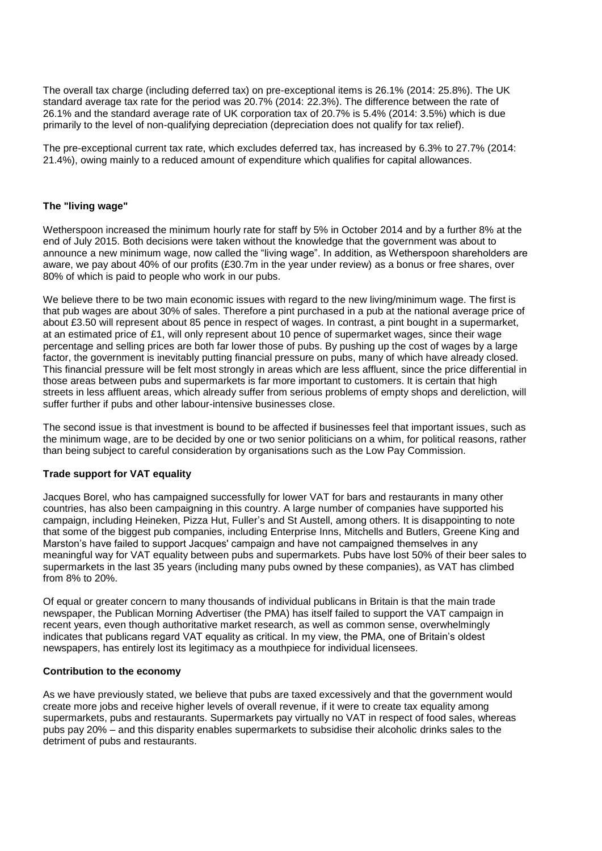The overall tax charge (including deferred tax) on pre-exceptional items is 26.1% (2014: 25.8%). The UK standard average tax rate for the period was 20.7% (2014: 22.3%). The difference between the rate of 26.1% and the standard average rate of UK corporation tax of 20.7% is 5.4% (2014: 3.5%) which is due primarily to the level of non-qualifying depreciation (depreciation does not qualify for tax relief).

The pre-exceptional current tax rate, which excludes deferred tax, has increased by 6.3% to 27.7% (2014: 21.4%), owing mainly to a reduced amount of expenditure which qualifies for capital allowances.

#### **The "living wage"**

Wetherspoon increased the minimum hourly rate for staff by 5% in October 2014 and by a further 8% at the end of July 2015. Both decisions were taken without the knowledge that the government was about to announce a new minimum wage, now called the "living wage". In addition, as Wetherspoon shareholders are aware, we pay about 40% of our profits (£30.7m in the year under review) as a bonus or free shares, over 80% of which is paid to people who work in our pubs.

We believe there to be two main economic issues with regard to the new living/minimum wage. The first is that pub wages are about 30% of sales. Therefore a pint purchased in a pub at the national average price of about £3.50 will represent about 85 pence in respect of wages. In contrast, a pint bought in a supermarket, at an estimated price of £1, will only represent about 10 pence of supermarket wages, since their wage percentage and selling prices are both far lower those of pubs. By pushing up the cost of wages by a large factor, the government is inevitably putting financial pressure on pubs, many of which have already closed. This financial pressure will be felt most strongly in areas which are less affluent, since the price differential in those areas between pubs and supermarkets is far more important to customers. It is certain that high streets in less affluent areas, which already suffer from serious problems of empty shops and dereliction, will suffer further if pubs and other labour-intensive businesses close.

The second issue is that investment is bound to be affected if businesses feel that important issues, such as the minimum wage, are to be decided by one or two senior politicians on a whim, for political reasons, rather than being subject to careful consideration by organisations such as the Low Pay Commission.

#### **Trade support for VAT equality**

Jacques Borel, who has campaigned successfully for lower VAT for bars and restaurants in many other countries, has also been campaigning in this country. A large number of companies have supported his campaign, including Heineken, Pizza Hut, Fuller's and St Austell, among others. It is disappointing to note that some of the biggest pub companies, including Enterprise Inns, Mitchells and Butlers, Greene King and Marston's have failed to support Jacques' campaign and have not campaigned themselves in any meaningful way for VAT equality between pubs and supermarkets. Pubs have lost 50% of their beer sales to supermarkets in the last 35 years (including many pubs owned by these companies), as VAT has climbed from 8% to 20%.

Of equal or greater concern to many thousands of individual publicans in Britain is that the main trade newspaper, the Publican Morning Advertiser (the PMA) has itself failed to support the VAT campaign in recent years, even though authoritative market research, as well as common sense, overwhelmingly indicates that publicans regard VAT equality as critical. In my view, the PMA, one of Britain's oldest newspapers, has entirely lost its legitimacy as a mouthpiece for individual licensees.

#### **Contribution to the economy**

As we have previously stated, we believe that pubs are taxed excessively and that the government would create more jobs and receive higher levels of overall revenue, if it were to create tax equality among supermarkets, pubs and restaurants. Supermarkets pay virtually no VAT in respect of food sales, whereas pubs pay 20% – and this disparity enables supermarkets to subsidise their alcoholic drinks sales to the detriment of pubs and restaurants.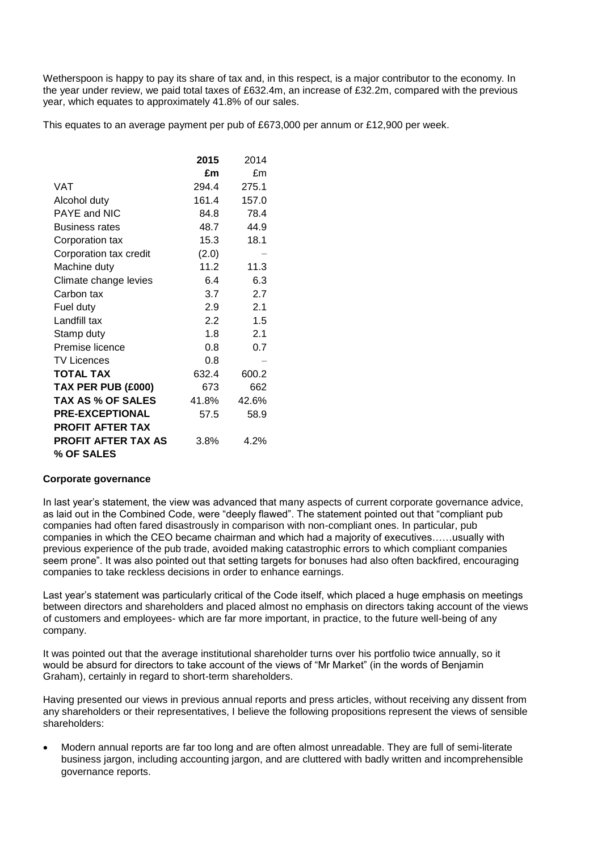Wetherspoon is happy to pay its share of tax and, in this respect, is a major contributor to the economy. In the year under review, we paid total taxes of £632.4m, an increase of £32.2m, compared with the previous year, which equates to approximately 41.8% of our sales.

This equates to an average payment per pub of £673,000 per annum or £12,900 per week.

|                            | 2015  | 2014  |
|----------------------------|-------|-------|
|                            | £m    | £m    |
| VAT                        | 294.4 | 275.1 |
| Alcohol duty               | 161.4 | 157.0 |
| PAYE and NIC               | 84.8  | 78.4  |
| <b>Business rates</b>      | 48.7  | 44.9  |
| Corporation tax            | 15.3  | 18.1  |
| Corporation tax credit     | (2.0) |       |
| Machine duty               | 11.2  | 11.3  |
| Climate change levies      | 6.4   | 6.3   |
| Carbon tax                 | 3.7   | 2.7   |
| Fuel duty                  | 2.9   | 2.1   |
| Landfill tax               | 2.2   | 1.5   |
| Stamp duty                 | 1.8   | 2.1   |
| Premise licence            | 0.8   | 0.7   |
| <b>TV Licences</b>         | 0.8   |       |
| <b>TOTAL TAX</b>           | 632.4 | 600.2 |
| TAX PER PUB (£000)         | 673   | 662   |
| <b>TAX AS % OF SALES</b>   | 41.8% | 42.6% |
| <b>PRE-EXCEPTIONAL</b>     | 57.5  | 58.9  |
| <b>PROFIT AFTER TAX</b>    |       |       |
| <b>PROFIT AFTER TAX AS</b> | 3.8%  | 4.2%  |
| % OF SALES                 |       |       |

#### **Corporate governance**

In last year's statement, the view was advanced that many aspects of current corporate governance advice, as laid out in the Combined Code, were "deeply flawed". The statement pointed out that "compliant pub companies had often fared disastrously in comparison with non-compliant ones. In particular, pub companies in which the CEO became chairman and which had a majority of executives……usually with previous experience of the pub trade, avoided making catastrophic errors to which compliant companies seem prone". It was also pointed out that setting targets for bonuses had also often backfired, encouraging companies to take reckless decisions in order to enhance earnings.

Last year's statement was particularly critical of the Code itself, which placed a huge emphasis on meetings between directors and shareholders and placed almost no emphasis on directors taking account of the views of customers and employees- which are far more important, in practice, to the future well-being of any company.

It was pointed out that the average institutional shareholder turns over his portfolio twice annually, so it would be absurd for directors to take account of the views of "Mr Market" (in the words of Benjamin Graham), certainly in regard to short-term shareholders.

Having presented our views in previous annual reports and press articles, without receiving any dissent from any shareholders or their representatives, I believe the following propositions represent the views of sensible shareholders:

 Modern annual reports are far too long and are often almost unreadable. They are full of semi-literate business jargon, including accounting jargon, and are cluttered with badly written and incomprehensible governance reports.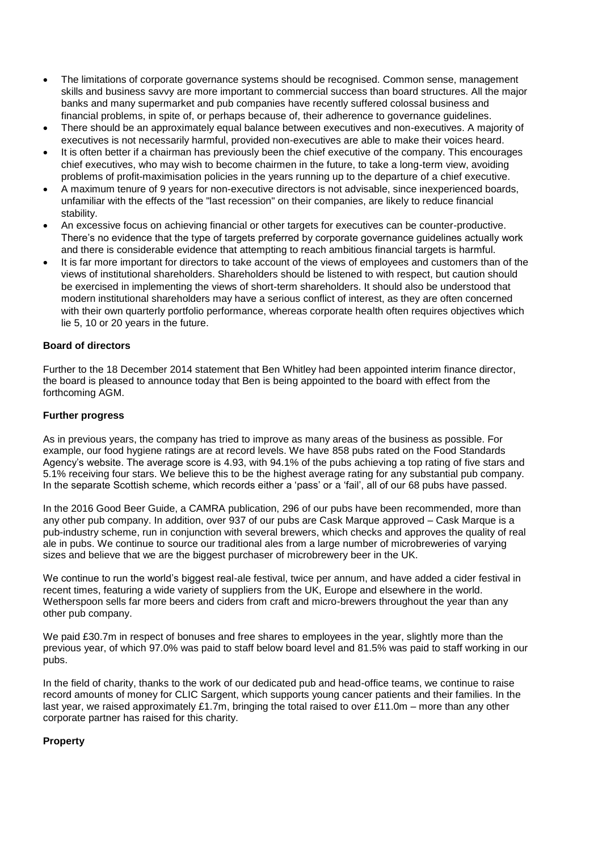- The limitations of corporate governance systems should be recognised. Common sense, management skills and business savvy are more important to commercial success than board structures. All the major banks and many supermarket and pub companies have recently suffered colossal business and financial problems, in spite of, or perhaps because of, their adherence to governance guidelines.
- There should be an approximately equal balance between executives and non-executives. A majority of executives is not necessarily harmful, provided non-executives are able to make their voices heard.
- It is often better if a chairman has previously been the chief executive of the company. This encourages chief executives, who may wish to become chairmen in the future, to take a long-term view, avoiding problems of profit-maximisation policies in the years running up to the departure of a chief executive.
- A maximum tenure of 9 years for non-executive directors is not advisable, since inexperienced boards, unfamiliar with the effects of the "last recession" on their companies, are likely to reduce financial stability.
- An excessive focus on achieving financial or other targets for executives can be counter-productive. There's no evidence that the type of targets preferred by corporate governance guidelines actually work and there is considerable evidence that attempting to reach ambitious financial targets is harmful.
- It is far more important for directors to take account of the views of employees and customers than of the views of institutional shareholders. Shareholders should be listened to with respect, but caution should be exercised in implementing the views of short-term shareholders. It should also be understood that modern institutional shareholders may have a serious conflict of interest, as they are often concerned with their own quarterly portfolio performance, whereas corporate health often requires objectives which lie 5, 10 or 20 years in the future.

#### **Board of directors**

Further to the 18 December 2014 statement that Ben Whitley had been appointed interim finance director, the board is pleased to announce today that Ben is being appointed to the board with effect from the forthcoming AGM.

#### **Further progress**

As in previous years, the company has tried to improve as many areas of the business as possible. For example, our food hygiene ratings are at record levels. We have 858 pubs rated on the Food Standards Agency's website. The average score is 4.93, with 94.1% of the pubs achieving a top rating of five stars and 5.1% receiving four stars. We believe this to be the highest average rating for any substantial pub company. In the separate Scottish scheme, which records either a 'pass' or a 'fail', all of our 68 pubs have passed.

In the 2016 Good Beer Guide, a CAMRA publication, 296 of our pubs have been recommended, more than any other pub company. In addition, over 937 of our pubs are Cask Marque approved – Cask Marque is a pub-industry scheme, run in conjunction with several brewers, which checks and approves the quality of real ale in pubs. We continue to source our traditional ales from a large number of microbreweries of varying sizes and believe that we are the biggest purchaser of microbrewery beer in the UK.

We continue to run the world's biggest real-ale festival, twice per annum, and have added a cider festival in recent times, featuring a wide variety of suppliers from the UK, Europe and elsewhere in the world. Wetherspoon sells far more beers and ciders from craft and micro-brewers throughout the year than any other pub company.

We paid £30.7m in respect of bonuses and free shares to employees in the year, slightly more than the previous year, of which 97.0% was paid to staff below board level and 81.5% was paid to staff working in our pubs.

In the field of charity, thanks to the work of our dedicated pub and head-office teams, we continue to raise record amounts of money for CLIC Sargent, which supports young cancer patients and their families. In the last year, we raised approximately £1.7m, bringing the total raised to over £11.0m – more than any other corporate partner has raised for this charity.

#### **Property**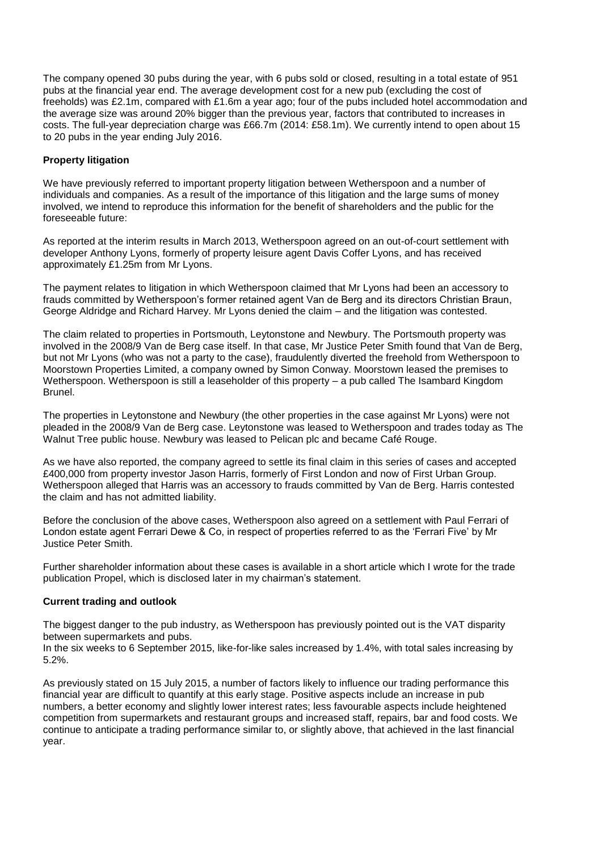The company opened 30 pubs during the year, with 6 pubs sold or closed, resulting in a total estate of 951 pubs at the financial year end. The average development cost for a new pub (excluding the cost of freeholds) was £2.1m, compared with £1.6m a year ago; four of the pubs included hotel accommodation and the average size was around 20% bigger than the previous year, factors that contributed to increases in costs. The full-year depreciation charge was £66.7m (2014: £58.1m). We currently intend to open about 15 to 20 pubs in the year ending July 2016.

# **Property litigation**

We have previously referred to important property litigation between Wetherspoon and a number of individuals and companies. As a result of the importance of this litigation and the large sums of money involved, we intend to reproduce this information for the benefit of shareholders and the public for the foreseeable future:

As reported at the interim results in March 2013, Wetherspoon agreed on an out-of-court settlement with developer Anthony Lyons, formerly of property leisure agent Davis Coffer Lyons, and has received approximately £1.25m from Mr Lyons.

The payment relates to litigation in which Wetherspoon claimed that Mr Lyons had been an accessory to frauds committed by Wetherspoon's former retained agent Van de Berg and its directors Christian Braun, George Aldridge and Richard Harvey. Mr Lyons denied the claim – and the litigation was contested.

The claim related to properties in Portsmouth, Leytonstone and Newbury. The Portsmouth property was involved in the 2008/9 Van de Berg case itself. In that case, Mr Justice Peter Smith found that Van de Berg, but not Mr Lyons (who was not a party to the case), fraudulently diverted the freehold from Wetherspoon to Moorstown Properties Limited, a company owned by Simon Conway. Moorstown leased the premises to Wetherspoon. Wetherspoon is still a leaseholder of this property – a pub called The Isambard Kingdom Brunel.

The properties in Leytonstone and Newbury (the other properties in the case against Mr Lyons) were not pleaded in the 2008/9 Van de Berg case. Leytonstone was leased to Wetherspoon and trades today as The Walnut Tree public house. Newbury was leased to Pelican plc and became Café Rouge.

As we have also reported, the company agreed to settle its final claim in this series of cases and accepted £400,000 from property investor Jason Harris, formerly of First London and now of First Urban Group. Wetherspoon alleged that Harris was an accessory to frauds committed by Van de Berg. Harris contested the claim and has not admitted liability.

Before the conclusion of the above cases, Wetherspoon also agreed on a settlement with Paul Ferrari of London estate agent Ferrari Dewe & Co, in respect of properties referred to as the 'Ferrari Five' by Mr Justice Peter Smith.

Further shareholder information about these cases is available in a short article which I wrote for the trade publication Propel, which is disclosed later in my chairman's statement.

### **Current trading and outlook**

The biggest danger to the pub industry, as Wetherspoon has previously pointed out is the VAT disparity between supermarkets and pubs.

In the six weeks to 6 September 2015, like-for-like sales increased by 1.4%, with total sales increasing by 5.2%.

As previously stated on 15 July 2015, a number of factors likely to influence our trading performance this financial year are difficult to quantify at this early stage. Positive aspects include an increase in pub numbers, a better economy and slightly lower interest rates; less favourable aspects include heightened competition from supermarkets and restaurant groups and increased staff, repairs, bar and food costs. We continue to anticipate a trading performance similar to, or slightly above, that achieved in the last financial year.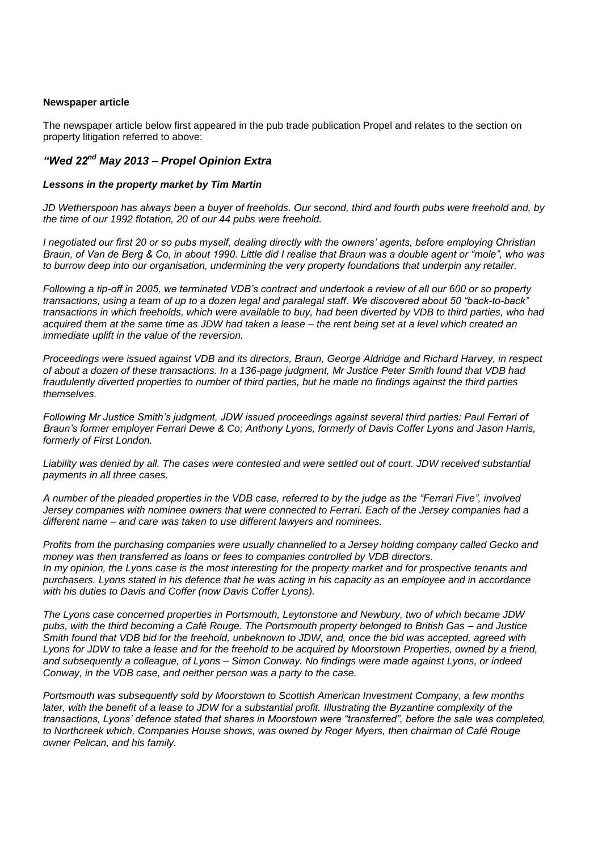#### **Newspaper article**

The newspaper article below first appeared in the pub trade publication Propel and relates to the section on property litigation referred to above:

# *"Wed 22nd May 2013 – Propel Opinion Extra*

#### *Lessons in the property market by Tim Martin*

*JD Wetherspoon has always been a buyer of freeholds. Our second, third and fourth pubs were freehold and, by the time of our 1992 flotation, 20 of our 44 pubs were freehold.*

*I negotiated our first 20 or so pubs myself, dealing directly with the owners' agents, before employing Christian Braun, of Van de Berg & Co, in about 1990. Little did I realise that Braun was a double agent or "mole", who was to burrow deep into our organisation, undermining the very property foundations that underpin any retailer.*

*Following a tip-off in 2005, we terminated VDB's contract and undertook a review of all our 600 or so property transactions, using a team of up to a dozen legal and paralegal staff. We discovered about 50 "back-to-back" transactions in which freeholds, which were available to buy, had been diverted by VDB to third parties, who had acquired them at the same time as JDW had taken a lease – the rent being set at a level which created an immediate uplift in the value of the reversion.*

*Proceedings were issued against VDB and its directors, Braun, George Aldridge and Richard Harvey, in respect of about a dozen of these transactions. In a 136-page judgment, Mr Justice Peter Smith found that VDB had fraudulently diverted properties to number of third parties, but he made no findings against the third parties themselves.*

*Following Mr Justice Smith's judgment, JDW issued proceedings against several third parties: Paul Ferrari of Braun's former employer Ferrari Dewe & Co; Anthony Lyons, formerly of Davis Coffer Lyons and Jason Harris, formerly of First London.*

*Liability was denied by all. The cases were contested and were settled out of court. JDW received substantial payments in all three cases.*

*A number of the pleaded properties in the VDB case, referred to by the judge as the "Ferrari Five", involved Jersey companies with nominee owners that were connected to Ferrari. Each of the Jersey companies had a different name – and care was taken to use different lawyers and nominees.* 

*Profits from the purchasing companies were usually channelled to a Jersey holding company called Gecko and money was then transferred as loans or fees to companies controlled by VDB directors. In my opinion, the Lyons case is the most interesting for the property market and for prospective tenants and purchasers. Lyons stated in his defence that he was acting in his capacity as an employee and in accordance with his duties to Davis and Coffer (now Davis Coffer Lyons).*

*The Lyons case concerned properties in Portsmouth, Leytonstone and Newbury, two of which became JDW pubs, with the third becoming a Café Rouge. The Portsmouth property belonged to British Gas – and Justice Smith found that VDB bid for the freehold, unbeknown to JDW, and, once the bid was accepted, agreed with Lyons for JDW to take a lease and for the freehold to be acquired by Moorstown Properties, owned by a friend, and subsequently a colleague, of Lyons – Simon Conway. No findings were made against Lyons, or indeed Conway, in the VDB case, and neither person was a party to the case.*

*Portsmouth was subsequently sold by Moorstown to Scottish American Investment Company, a few months later, with the benefit of a lease to JDW for a substantial profit. Illustrating the Byzantine complexity of the transactions, Lyons' defence stated that shares in Moorstown were "transferred", before the sale was completed, to Northcreek which, Companies House shows, was owned by Roger Myers, then chairman of Café Rouge owner Pelican, and his family.*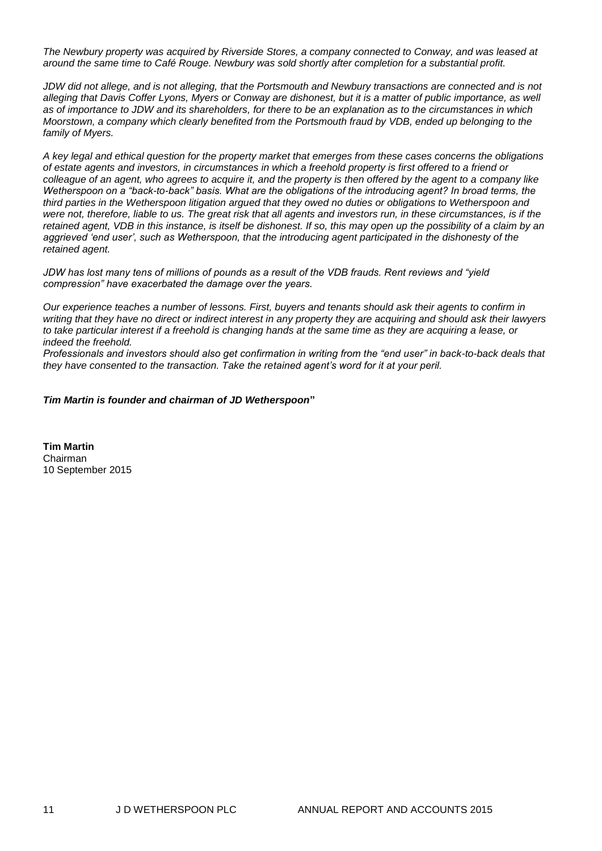*The Newbury property was acquired by Riverside Stores, a company connected to Conway, and was leased at around the same time to Café Rouge. Newbury was sold shortly after completion for a substantial profit.*

*JDW did not allege, and is not alleging, that the Portsmouth and Newbury transactions are connected and is not alleging that Davis Coffer Lyons, Myers or Conway are dishonest, but it is a matter of public importance, as well as of importance to JDW and its shareholders, for there to be an explanation as to the circumstances in which Moorstown, a company which clearly benefited from the Portsmouth fraud by VDB, ended up belonging to the family of Myers.*

*A key legal and ethical question for the property market that emerges from these cases concerns the obligations of estate agents and investors, in circumstances in which a freehold property is first offered to a friend or colleague of an agent, who agrees to acquire it, and the property is then offered by the agent to a company like Wetherspoon on a "back-to-back" basis. What are the obligations of the introducing agent? In broad terms, the third parties in the Wetherspoon litigation argued that they owed no duties or obligations to Wetherspoon and were not, therefore, liable to us. The great risk that all agents and investors run, in these circumstances, is if the retained agent, VDB in this instance, is itself be dishonest. If so, this may open up the possibility of a claim by an aggrieved 'end user', such as Wetherspoon, that the introducing agent participated in the dishonesty of the retained agent.*

*JDW has lost many tens of millions of pounds as a result of the VDB frauds. Rent reviews and "yield compression" have exacerbated the damage over the years.*

*Our experience teaches a number of lessons. First, buyers and tenants should ask their agents to confirm in writing that they have no direct or indirect interest in any property they are acquiring and should ask their lawyers to take particular interest if a freehold is changing hands at the same time as they are acquiring a lease, or indeed the freehold.*

*Professionals and investors should also get confirmation in writing from the "end user" in back-to-back deals that they have consented to the transaction. Take the retained agent's word for it at your peril.*

*Tim Martin is founder and chairman of JD Wetherspoon***"**

**Tim Martin** Chairman 10 September 2015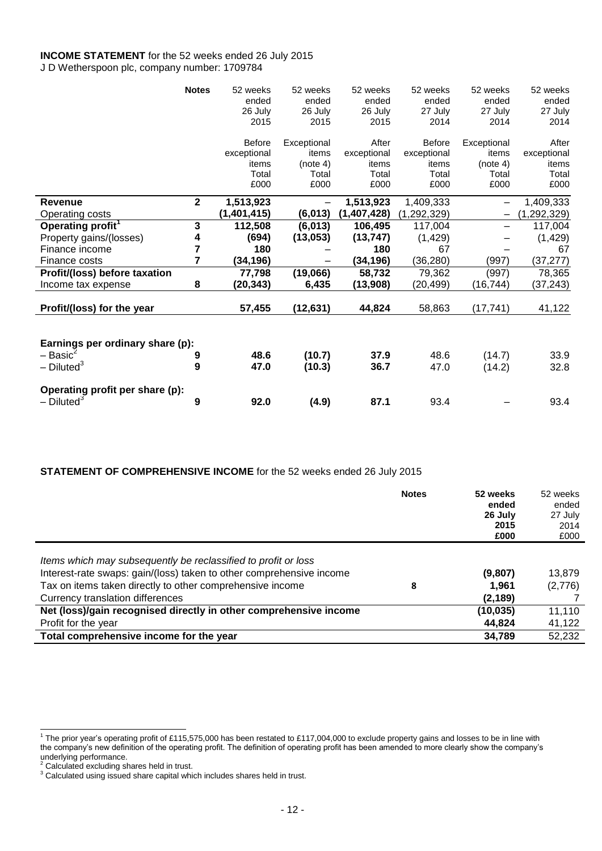#### **INCOME STATEMENT** for the 52 weeks ended 26 July 2015 J D Wetherspoon plc, company number: 1709784

|                                                             | <b>Notes</b>   | 52 weeks<br>ended<br>26 July<br>2015                   | 52 weeks<br>ended<br>26 July<br>2015              | 52 weeks<br>ended<br>26 July<br>2015           | 52 weeks<br>ended<br>27 July<br>2014                   | 52 weeks<br>ended<br>27 July<br>2014              | 52 weeks<br>ended<br>27 July<br>2014           |
|-------------------------------------------------------------|----------------|--------------------------------------------------------|---------------------------------------------------|------------------------------------------------|--------------------------------------------------------|---------------------------------------------------|------------------------------------------------|
|                                                             |                | <b>Before</b><br>exceptional<br>items<br>Total<br>£000 | Exceptional<br>items<br>(note 4)<br>Total<br>£000 | After<br>exceptional<br>items<br>Total<br>£000 | <b>Before</b><br>exceptional<br>items<br>Total<br>£000 | Exceptional<br>items<br>(note 4)<br>Total<br>£000 | After<br>exceptional<br>items<br>Total<br>£000 |
| <b>Revenue</b>                                              | $\mathbf{2}$   | 1,513,923                                              |                                                   | 1,513,923                                      | 1,409,333                                              |                                                   | 1,409,333                                      |
| Operating costs                                             |                | (1,401,415)                                            | (6,013)                                           | (1,407,428)                                    | (1, 292, 329)                                          |                                                   | (1, 292, 329)                                  |
| Operating profit <sup>1</sup>                               | 3              | 112,508                                                | (6, 013)                                          | 106,495                                        | 117,004                                                |                                                   | 117,004                                        |
| Property gains/(losses)                                     | 4              | (694)                                                  | (13,053)                                          | (13, 747)                                      | (1,429)                                                |                                                   | (1, 429)                                       |
| Finance income                                              | 7              | 180                                                    |                                                   | 180                                            | 67                                                     |                                                   | 67                                             |
| Finance costs                                               | $\overline{7}$ | (34,196)                                               |                                                   | (34, 196)                                      | (36, 280)                                              | (997)                                             | (37, 277)                                      |
| Profit/(loss) before taxation                               |                | 77,798                                                 | (19,066)                                          | 58,732                                         | 79,362                                                 | (997)                                             | 78,365                                         |
| Income tax expense                                          | 8              | (20,343)                                               | 6,435                                             | (13,908)                                       | (20,499)                                               | (16, 744)                                         | (37, 243)                                      |
| Profit/(loss) for the year                                  |                | 57,455                                                 | (12, 631)                                         | 44,824                                         | 58,863                                                 | (17, 741)                                         | 41,122                                         |
| Earnings per ordinary share (p):<br>$-$ Basic <sup>2</sup>  | 9              | 48.6                                                   | (10.7)                                            | 37.9                                           | 48.6                                                   | (14.7)                                            | 33.9                                           |
| $-$ Diluted <sup>3</sup>                                    | 9              | 47.0                                                   | (10.3)                                            | 36.7                                           | 47.0                                                   | (14.2)                                            | 32.8                                           |
| Operating profit per share (p):<br>$-$ Diluted <sup>3</sup> | 9              | 92.0                                                   | (4.9)                                             | 87.1                                           | 93.4                                                   |                                                   | 93.4                                           |

### **STATEMENT OF COMPREHENSIVE INCOME** for the 52 weeks ended 26 July 2015

|                                                                      | <b>Notes</b> | 52 weeks<br>ended<br>26 July<br>2015<br>£000 | 52 weeks<br>ended<br>27 July<br>2014<br>£000 |
|----------------------------------------------------------------------|--------------|----------------------------------------------|----------------------------------------------|
|                                                                      |              |                                              |                                              |
| Items which may subsequently be reclassified to profit or loss       |              |                                              |                                              |
| Interest-rate swaps: gain/(loss) taken to other comprehensive income |              | (9,807)                                      | 13,879                                       |
| Tax on items taken directly to other comprehensive income            | 8            | 1.961                                        | (2,776)                                      |
| Currency translation differences                                     |              | (2, 189)                                     |                                              |
| Net (loss)/gain recognised directly in other comprehensive income    |              | (10,035)                                     | 11,110                                       |
| Profit for the year                                                  |              | 44,824                                       | 41,122                                       |
| Total comprehensive income for the year                              |              | 34,789                                       | 52,232                                       |

 1 The prior year's operating profit of £115,575,000 has been restated to £117,004,000 to exclude property gains and losses to be in line with the company's new definition of the operating profit. The definition of operating profit has been amended to more clearly show the company's

underlying performance.<br><sup>2</sup> Calculated excluding shares held in trust.

<sup>&</sup>lt;sup>3</sup> Calculated excluding shares held in thust.<br><sup>3</sup> Calculated using issued share capital which includes shares held in trust.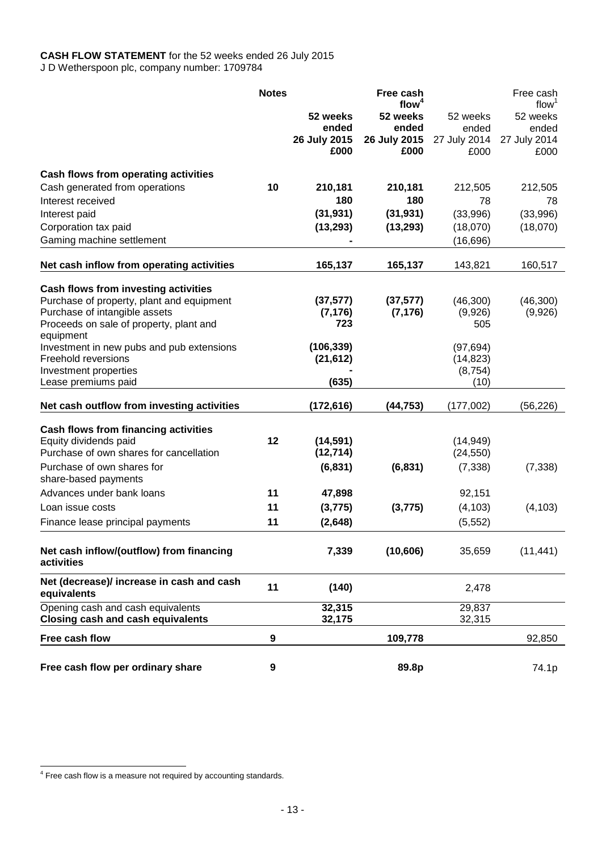# **CASH FLOW STATEMENT** for the 52 weeks ended 26 July 2015

J D Wetherspoon plc, company number: 1709784

|                                                                               | <b>Notes</b> |                  | Free cash                     |                       | Free cash                     |
|-------------------------------------------------------------------------------|--------------|------------------|-------------------------------|-----------------------|-------------------------------|
|                                                                               |              | 52 weeks         | flow <sup>4</sup><br>52 weeks | 52 weeks              | flow <sup>1</sup><br>52 weeks |
|                                                                               |              | ended            | ended                         | ended                 | ended                         |
|                                                                               |              | 26 July 2015     | 26 July 2015                  | 27 July 2014          | 27 July 2014                  |
|                                                                               |              | £000             | £000                          | £000                  | £000                          |
|                                                                               |              |                  |                               |                       |                               |
| Cash flows from operating activities                                          | 10           |                  |                               |                       |                               |
| Cash generated from operations<br>Interest received                           |              | 210,181<br>180   | 210,181<br>180                | 212,505               | 212,505                       |
|                                                                               |              |                  |                               | 78<br>(33,996)        | 78                            |
| Interest paid                                                                 |              | (31, 931)        | (31, 931)                     |                       | (33,996)                      |
| Corporation tax paid                                                          |              | (13, 293)        | (13, 293)                     | (18,070)              | (18,070)                      |
| Gaming machine settlement                                                     |              |                  |                               | (16, 696)             |                               |
| Net cash inflow from operating activities                                     |              | 165,137          | 165,137                       | 143,821               | 160,517                       |
| Cash flows from investing activities                                          |              |                  |                               |                       |                               |
| Purchase of property, plant and equipment                                     |              | (37, 577)        | (37, 577)                     | (46,300)              | (46, 300)                     |
| Purchase of intangible assets                                                 |              | (7, 176)         | (7, 176)                      | (9,926)               | (9,926)                       |
| Proceeds on sale of property, plant and                                       |              | 723              |                               | 505                   |                               |
| equipment                                                                     |              |                  |                               |                       |                               |
| Investment in new pubs and pub extensions                                     |              | (106, 339)       |                               | (97, 694)             |                               |
| Freehold reversions                                                           |              | (21, 612)        |                               | (14, 823)<br>(8, 754) |                               |
| Investment properties<br>Lease premiums paid                                  |              | (635)            |                               | (10)                  |                               |
|                                                                               |              |                  |                               |                       |                               |
| Net cash outflow from investing activities                                    |              | (172, 616)       | (44, 753)                     | (177,002)             | (56,226)                      |
| Cash flows from financing activities                                          |              |                  |                               |                       |                               |
| Equity dividends paid                                                         | 12           | (14, 591)        |                               | (14, 949)             |                               |
| Purchase of own shares for cancellation                                       |              | (12, 714)        |                               | (24, 550)             |                               |
| Purchase of own shares for                                                    |              | (6, 831)         | (6, 831)                      | (7, 338)              | (7, 338)                      |
| share-based payments                                                          |              |                  |                               |                       |                               |
| Advances under bank loans                                                     | 11           | 47,898           |                               | 92,151                |                               |
| Loan issue costs                                                              | 11           | (3, 775)         | (3, 775)                      | (4, 103)              | (4, 103)                      |
| Finance lease principal payments                                              | 11           | (2,648)          |                               | (5, 552)              |                               |
| Net cash inflow/(outflow) from financing                                      |              | 7,339            | (10, 606)                     | 35,659                | (11, 441)                     |
| activities                                                                    |              |                  |                               |                       |                               |
| Net (decrease)/ increase in cash and cash<br>equivalents                      | 11           | (140)            |                               | 2,478                 |                               |
| Opening cash and cash equivalents<br><b>Closing cash and cash equivalents</b> |              | 32,315<br>32,175 |                               | 29,837<br>32,315      |                               |
|                                                                               |              |                  |                               |                       |                               |
| Free cash flow                                                                | 9            |                  | 109,778                       |                       | 92,850                        |
| Free cash flow per ordinary share                                             | 9            |                  | 89.8p                         |                       | 74.1p                         |

 4 Free cash flow is a measure not required by accounting standards.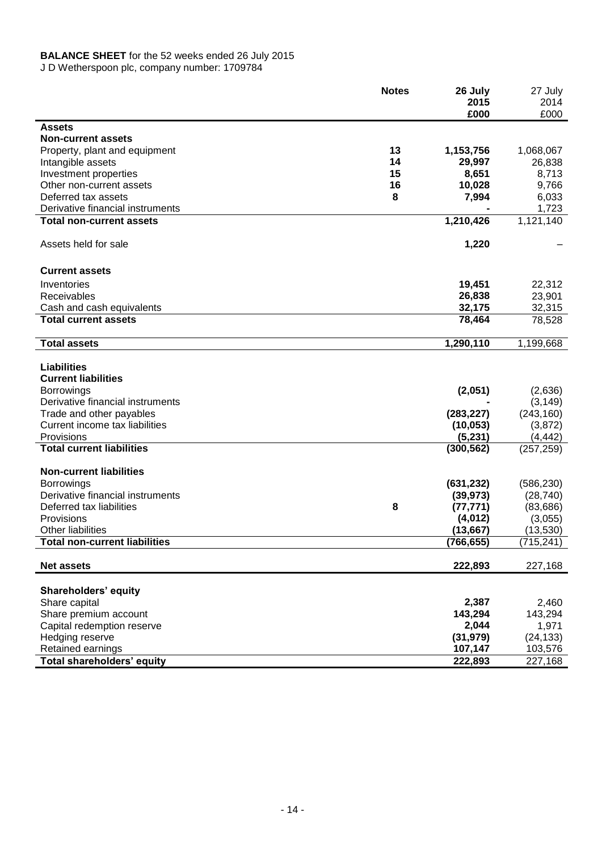# **BALANCE SHEET** for the 52 weeks ended 26 July 2015

J D Wetherspoon plc, company number: 1709784

|                                                            | <b>Notes</b> | 26 July                 | 27 July             |
|------------------------------------------------------------|--------------|-------------------------|---------------------|
|                                                            |              | 2015                    | 2014                |
|                                                            |              | £000                    | £000                |
| <b>Assets</b>                                              |              |                         |                     |
| <b>Non-current assets</b>                                  |              |                         |                     |
| Property, plant and equipment                              | 13           | 1,153,756               | 1,068,067           |
| Intangible assets                                          | 14           | 29,997                  | 26,838              |
| Investment properties                                      | 15           | 8,651                   | 8,713               |
| Other non-current assets                                   | 16           | 10,028                  | 9,766               |
| Deferred tax assets                                        | 8            | 7,994                   | 6,033               |
| Derivative financial instruments                           |              |                         | 1,723               |
| <b>Total non-current assets</b>                            |              | 1,210,426               | 1,121,140           |
|                                                            |              |                         |                     |
| Assets held for sale                                       |              | 1,220                   |                     |
| <b>Current assets</b>                                      |              |                         |                     |
| Inventories                                                |              | 19,451                  | 22,312              |
| <b>Receivables</b>                                         |              | 26,838                  | 23,901              |
| Cash and cash equivalents                                  |              | 32,175                  | 32,315              |
| <b>Total current assets</b>                                |              | 78,464                  | 78,528              |
|                                                            |              |                         |                     |
| <b>Total assets</b>                                        |              | 1,290,110               | 1,199,668           |
|                                                            |              |                         |                     |
| <b>Liabilities</b>                                         |              |                         |                     |
| <b>Current liabilities</b>                                 |              |                         |                     |
| <b>Borrowings</b><br>Derivative financial instruments      |              | (2,051)                 | (2,636)             |
|                                                            |              |                         | (3, 149)            |
| Trade and other payables<br>Current income tax liabilities |              | (283, 227)<br>(10, 053) | (243, 160)          |
| Provisions                                                 |              | (5,231)                 | (3,872)<br>(4, 442) |
| <b>Total current liabilities</b>                           |              | (300, 562)              | (257, 259)          |
|                                                            |              |                         |                     |
| <b>Non-current liabilities</b>                             |              |                         |                     |
| Borrowings                                                 |              | (631, 232)              | (586, 230)          |
| Derivative financial instruments                           |              | (39, 973)               | (28, 740)           |
| Deferred tax liabilities                                   | 8            | (77, 771)               | (83, 686)           |
| Provisions                                                 |              | (4,012)                 | (3,055)             |
| Other liabilities                                          |              | (13, 667)               | (13,530)            |
| <b>Total non-current liabilities</b>                       |              | (766, 655)              | (715,241)           |
| <b>Net assets</b>                                          |              | 222,893                 | 227,168             |
|                                                            |              |                         |                     |
| Shareholders' equity                                       |              |                         |                     |
| Share capital                                              |              | 2,387                   | 2,460               |
| Share premium account                                      |              | 143,294                 | 143,294             |
| Capital redemption reserve                                 |              | 2,044                   | 1,971               |
| Hedging reserve                                            |              | (31, 979)               | (24, 133)           |
| Retained earnings                                          |              | 107,147                 | 103,576             |
| <b>Total shareholders' equity</b>                          |              | 222,893                 | 227,168             |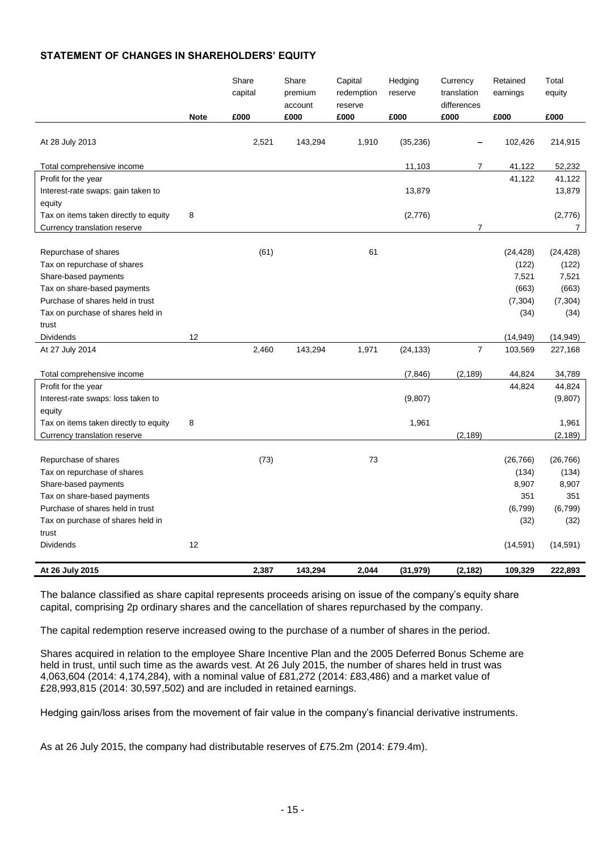# **STATEMENT OF CHANGES IN SHAREHOLDERS' EQUITY**

|                                       | <b>Note</b> | Share<br>capital<br>£000 | Share<br>premium<br>account<br>£000 | Capital<br>redemption<br>reserve<br>£000 | Hedging<br>reserve<br>£000 | Currency<br>translation<br>differences<br>£000 | Retained<br>earnings<br>£000 | Total<br>equity<br>£000 |
|---------------------------------------|-------------|--------------------------|-------------------------------------|------------------------------------------|----------------------------|------------------------------------------------|------------------------------|-------------------------|
|                                       |             |                          |                                     |                                          |                            |                                                |                              |                         |
| At 28 July 2013                       |             | 2,521                    | 143,294                             | 1,910                                    | (35, 236)                  |                                                | 102,426                      | 214,915                 |
| Total comprehensive income            |             |                          |                                     |                                          | 11,103                     | $\overline{7}$                                 | 41,122                       | 52,232                  |
| Profit for the year                   |             |                          |                                     |                                          |                            |                                                | 41,122                       | 41,122                  |
| Interest-rate swaps: gain taken to    |             |                          |                                     |                                          | 13,879                     |                                                |                              | 13,879                  |
| equity                                |             |                          |                                     |                                          |                            |                                                |                              |                         |
| Tax on items taken directly to equity | 8           |                          |                                     |                                          | (2,776)                    |                                                |                              | (2,776)                 |
| Currency translation reserve          |             |                          |                                     |                                          |                            | $\overline{7}$                                 |                              | 7                       |
|                                       |             |                          |                                     |                                          |                            |                                                |                              |                         |
| Repurchase of shares                  |             | (61)                     |                                     | 61                                       |                            |                                                | (24, 428)                    | (24, 428)               |
| Tax on repurchase of shares           |             |                          |                                     |                                          |                            |                                                | (122)                        | (122)                   |
| Share-based payments                  |             |                          |                                     |                                          |                            |                                                | 7,521                        | 7,521                   |
| Tax on share-based payments           |             |                          |                                     |                                          |                            |                                                | (663)                        | (663)                   |
| Purchase of shares held in trust      |             |                          |                                     |                                          |                            |                                                | (7, 304)                     | (7, 304)                |
| Tax on purchase of shares held in     |             |                          |                                     |                                          |                            |                                                | (34)                         | (34)                    |
| trust                                 |             |                          |                                     |                                          |                            |                                                |                              |                         |
| <b>Dividends</b>                      | 12          |                          |                                     |                                          |                            |                                                | (14, 949)                    | (14, 949)               |
| At 27 July 2014                       |             | 2,460                    | 143,294                             | 1,971                                    | (24, 133)                  | $\overline{7}$                                 | 103,569                      | 227,168                 |
|                                       |             |                          |                                     |                                          |                            |                                                |                              |                         |
| Total comprehensive income            |             |                          |                                     |                                          | (7, 846)                   | (2, 189)                                       | 44,824                       | 34,789                  |
| Profit for the year                   |             |                          |                                     |                                          |                            |                                                | 44,824                       | 44,824                  |
| Interest-rate swaps: loss taken to    |             |                          |                                     |                                          | (9,807)                    |                                                |                              | (9,807)                 |
| equity                                |             |                          |                                     |                                          |                            |                                                |                              |                         |
| Tax on items taken directly to equity | 8           |                          |                                     |                                          | 1,961                      |                                                |                              | 1,961                   |
| Currency translation reserve          |             |                          |                                     |                                          |                            | (2, 189)                                       |                              | (2, 189)                |
|                                       |             |                          |                                     |                                          |                            |                                                |                              |                         |
| Repurchase of shares                  |             | (73)                     |                                     | 73                                       |                            |                                                | (26, 766)                    | (26, 766)               |
| Tax on repurchase of shares           |             |                          |                                     |                                          |                            |                                                | (134)                        | (134)                   |
| Share-based payments                  |             |                          |                                     |                                          |                            |                                                | 8,907                        | 8,907                   |
| Tax on share-based payments           |             |                          |                                     |                                          |                            |                                                | 351                          | 351                     |
| Purchase of shares held in trust      |             |                          |                                     |                                          |                            |                                                | (6, 799)                     | (6,799)                 |
| Tax on purchase of shares held in     |             |                          |                                     |                                          |                            |                                                | (32)                         | (32)                    |
| trust                                 |             |                          |                                     |                                          |                            |                                                |                              |                         |
| <b>Dividends</b>                      | 12          |                          |                                     |                                          |                            |                                                | (14, 591)                    | (14, 591)               |
| At 26 July 2015                       |             | 2.387                    | 143,294                             | 2,044                                    | (31, 979)                  | (2, 182)                                       | 109,329                      | 222,893                 |

The balance classified as share capital represents proceeds arising on issue of the company's equity share capital, comprising 2p ordinary shares and the cancellation of shares repurchased by the company.

The capital redemption reserve increased owing to the purchase of a number of shares in the period.

Shares acquired in relation to the employee Share Incentive Plan and the 2005 Deferred Bonus Scheme are held in trust, until such time as the awards vest. At 26 July 2015, the number of shares held in trust was 4,063,604 (2014: 4,174,284), with a nominal value of £81,272 (2014: £83,486) and a market value of £28,993,815 (2014: 30,597,502) and are included in retained earnings.

Hedging gain/loss arises from the movement of fair value in the company's financial derivative instruments.

As at 26 July 2015, the company had distributable reserves of £75.2m (2014: £79.4m).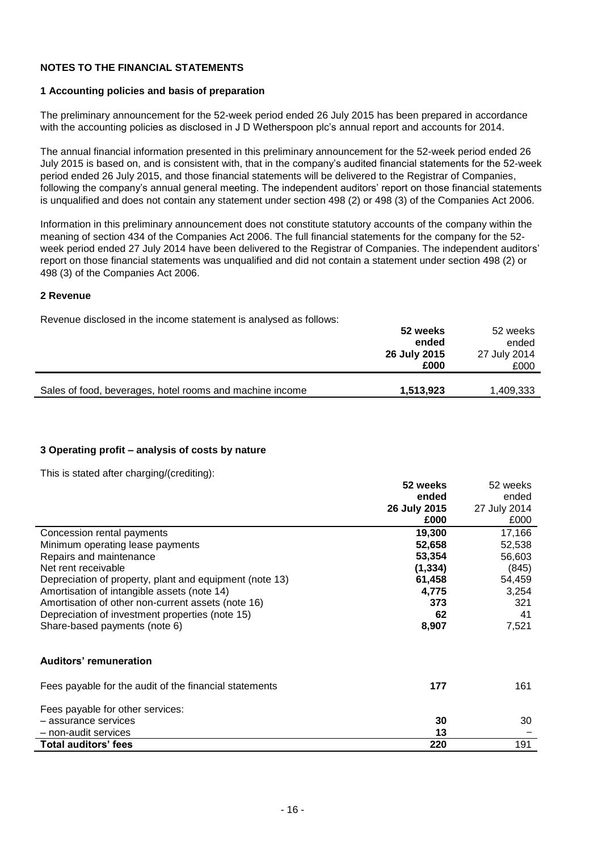# **NOTES TO THE FINANCIAL STATEMENTS**

#### **1 Accounting policies and basis of preparation**

The preliminary announcement for the 52-week period ended 26 July 2015 has been prepared in accordance with the accounting policies as disclosed in J D Wetherspoon plc's annual report and accounts for 2014.

The annual financial information presented in this preliminary announcement for the 52-week period ended 26 July 2015 is based on, and is consistent with, that in the company's audited financial statements for the 52-week period ended 26 July 2015, and those financial statements will be delivered to the Registrar of Companies, following the company's annual general meeting. The independent auditors' report on those financial statements is unqualified and does not contain any statement under section 498 (2) or 498 (3) of the Companies Act 2006.

Information in this preliminary announcement does not constitute statutory accounts of the company within the meaning of section 434 of the Companies Act 2006. The full financial statements for the company for the 52 week period ended 27 July 2014 have been delivered to the Registrar of Companies. The independent auditors' report on those financial statements was unqualified and did not contain a statement under section 498 (2) or 498 (3) of the Companies Act 2006.

#### **2 Revenue**

Revenue disclosed in the income statement is analysed as follows:

|                                                          | 52 weeks     | 52 weeks     |
|----------------------------------------------------------|--------------|--------------|
|                                                          | ended        | ended        |
|                                                          | 26 July 2015 | 27 July 2014 |
|                                                          | £000         | £000         |
|                                                          |              |              |
| Sales of food, beverages, hotel rooms and machine income | 1,513,923    | 1,409,333    |
|                                                          |              |              |

### **3 Operating profit – analysis of costs by nature**

This is stated after charging/(crediting):

|                                                         | 52 weeks     | 52 weeks     |
|---------------------------------------------------------|--------------|--------------|
|                                                         | ended        | ended        |
|                                                         | 26 July 2015 | 27 July 2014 |
|                                                         | £000         | £000         |
| Concession rental payments                              | 19,300       | 17,166       |
| Minimum operating lease payments                        | 52,658       | 52,538       |
| Repairs and maintenance                                 | 53,354       | 56,603       |
| Net rent receivable                                     | (1, 334)     | (845)        |
| Depreciation of property, plant and equipment (note 13) | 61,458       | 54,459       |
| Amortisation of intangible assets (note 14)             | 4,775        | 3,254        |
| Amortisation of other non-current assets (note 16)      | 373          | 321          |
| Depreciation of investment properties (note 15)         | 62           | 41           |
| Share-based payments (note 6)                           | 8,907        | 7,521        |
| Auditors' remuneration                                  |              |              |
| Fees payable for the audit of the financial statements  | 177          | 161          |
| Fees payable for other services:                        |              |              |
| - assurance services                                    | 30           | 30           |
| - non-audit services                                    | 13           |              |
| <b>Total auditors' fees</b>                             | 220          | 191          |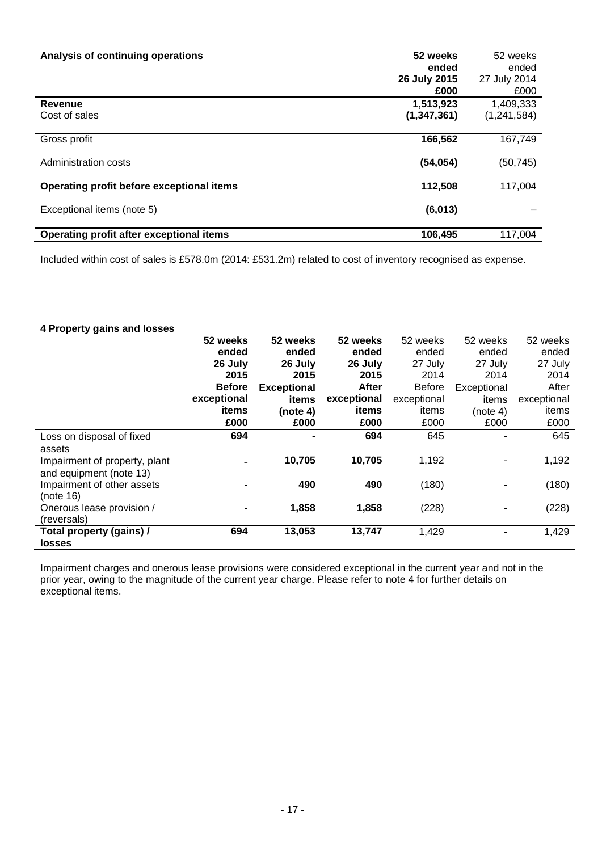| Analysis of continuing operations         | 52 weeks<br>ended          | 52 weeks<br>ended        |
|-------------------------------------------|----------------------------|--------------------------|
|                                           | 26 July 2015<br>£000       | 27 July 2014<br>£000     |
| Revenue<br>Cost of sales                  | 1,513,923<br>(1, 347, 361) | 1,409,333<br>(1,241,584) |
| Gross profit                              | 166,562                    | 167,749                  |
| Administration costs                      | (54, 054)                  | (50, 745)                |
| Operating profit before exceptional items | 112,508                    | 117,004                  |
| Exceptional items (note 5)                | (6, 013)                   |                          |
| Operating profit after exceptional items  | 106,495                    | 117.004                  |

Included within cost of sales is £578.0m (2014: £531.2m) related to cost of inventory recognised as expense.

| 4 Property gains and losses   |               |                    |             |               |             |             |
|-------------------------------|---------------|--------------------|-------------|---------------|-------------|-------------|
|                               | 52 weeks      | 52 weeks           | 52 weeks    | 52 weeks      | 52 weeks    | 52 weeks    |
|                               | ended         | ended              | ended       | ended         | ended       | ended       |
|                               | 26 July       | 26 July            | 26 July     | 27 July       | 27 July     | 27 July     |
|                               | 2015          | 2015               | 2015        | 2014          | 2014        | 2014        |
|                               | <b>Before</b> | <b>Exceptional</b> | After       | <b>Before</b> | Exceptional | After       |
|                               | exceptional   | items              | exceptional | exceptional   | items       | exceptional |
|                               | items         | (note 4)           | items       | items         | (note 4)    | items       |
|                               | £000          | £000               | £000        | £000          | £000        | £000        |
| Loss on disposal of fixed     | 694           |                    | 694         | 645           |             | 645         |
| assets                        |               |                    |             |               |             |             |
| Impairment of property, plant |               | 10,705             | 10,705      | 1,192         |             | 1,192       |
| and equipment (note 13)       |               |                    |             |               |             |             |
| Impairment of other assets    |               | 490                | 490         | (180)         |             | (180)       |
| (note 16)                     |               |                    |             |               |             |             |
| Onerous lease provision /     |               | 1,858              | 1,858       | (228)         |             | (228)       |
| (reversals)                   |               |                    |             |               |             |             |
| Total property (gains) /      | 694           | 13,053             | 13,747      | 1,429         |             | 1,429       |
| <b>losses</b>                 |               |                    |             |               |             |             |

Impairment charges and onerous lease provisions were considered exceptional in the current year and not in the prior year, owing to the magnitude of the current year charge. Please refer to note 4 for further details on exceptional items.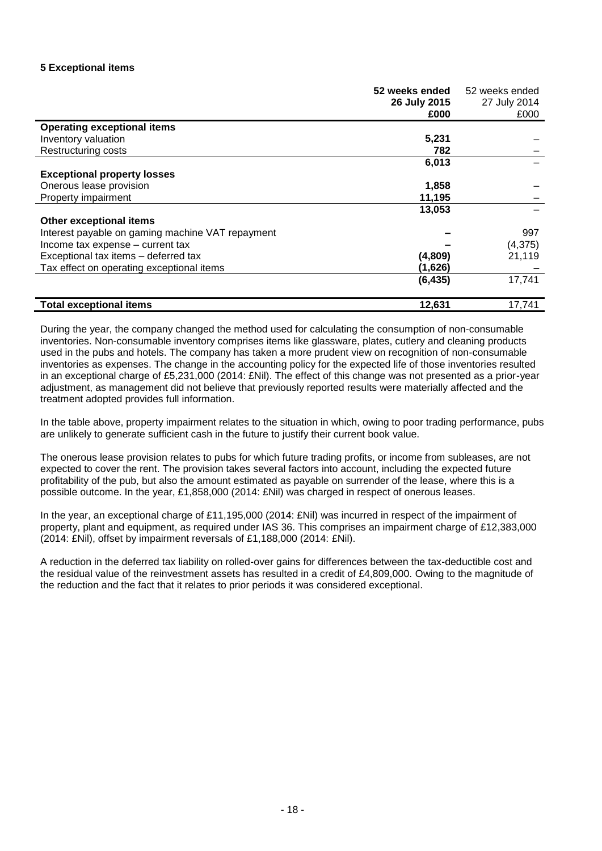#### **5 Exceptional items**

|                                                  | 52 weeks ended | 52 weeks ended |
|--------------------------------------------------|----------------|----------------|
|                                                  | 26 July 2015   | 27 July 2014   |
|                                                  | £000           | £000           |
| <b>Operating exceptional items</b>               |                |                |
| Inventory valuation                              | 5,231          |                |
| <b>Restructuring costs</b>                       | 782            |                |
|                                                  | 6,013          |                |
| <b>Exceptional property losses</b>               |                |                |
| Onerous lease provision                          | 1,858          |                |
| Property impairment                              | 11,195         |                |
|                                                  | 13,053         |                |
| Other exceptional items                          |                |                |
| Interest payable on gaming machine VAT repayment |                | 997            |
| Income tax expense - current tax                 |                | (4, 375)       |
| Exceptional tax items - deferred tax             | (4,809)        | 21,119         |
| Tax effect on operating exceptional items        | (1,626)        |                |
|                                                  | (6, 435)       | 17,741         |
| <b>Total exceptional items</b>                   | 12,631         | 17,741         |

During the year, the company changed the method used for calculating the consumption of non-consumable inventories. Non-consumable inventory comprises items like glassware, plates, cutlery and cleaning products used in the pubs and hotels. The company has taken a more prudent view on recognition of non-consumable inventories as expenses. The change in the accounting policy for the expected life of those inventories resulted in an exceptional charge of £5,231,000 (2014: £Nil). The effect of this change was not presented as a prior-year adjustment, as management did not believe that previously reported results were materially affected and the treatment adopted provides full information.

In the table above, property impairment relates to the situation in which, owing to poor trading performance, pubs are unlikely to generate sufficient cash in the future to justify their current book value.

The onerous lease provision relates to pubs for which future trading profits, or income from subleases, are not expected to cover the rent. The provision takes several factors into account, including the expected future profitability of the pub, but also the amount estimated as payable on surrender of the lease, where this is a possible outcome. In the year, £1,858,000 (2014: £Nil) was charged in respect of onerous leases.

In the year, an exceptional charge of £11,195,000 (2014: £Nil) was incurred in respect of the impairment of property, plant and equipment, as required under IAS 36. This comprises an impairment charge of £12,383,000 (2014: £Nil), offset by impairment reversals of £1,188,000 (2014: £Nil).

A reduction in the deferred tax liability on rolled-over gains for differences between the tax-deductible cost and the residual value of the reinvestment assets has resulted in a credit of £4,809,000. Owing to the magnitude of the reduction and the fact that it relates to prior periods it was considered exceptional.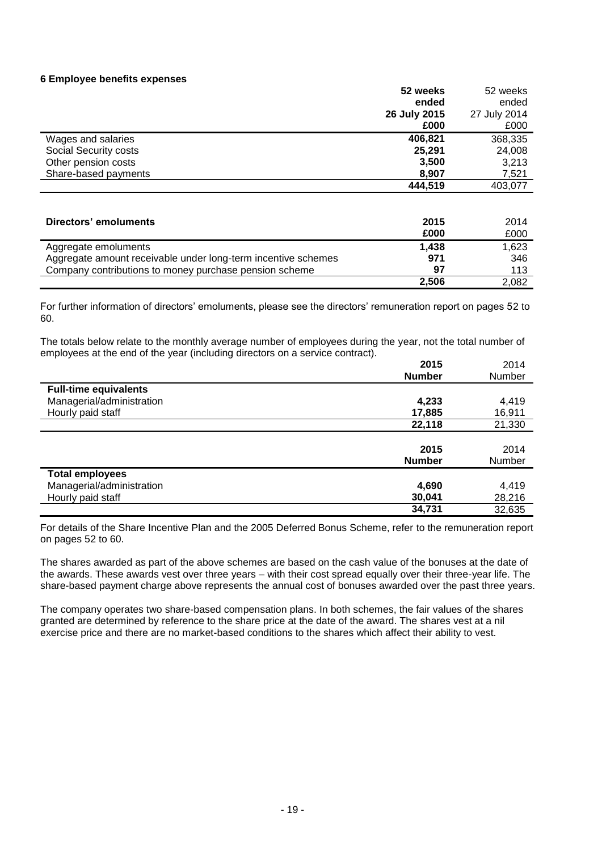#### **6 Employee benefits expenses**

|                       | 52 weeks<br>ended<br>26 July 2015<br>£000 | 52 weeks<br>ended<br>27 July 2014<br>£000 |
|-----------------------|-------------------------------------------|-------------------------------------------|
| Wages and salaries    | 406,821                                   | 368,335                                   |
| Social Security costs | 25,291                                    | 24,008                                    |
| Other pension costs   | 3,500                                     | 3,213                                     |
| Share-based payments  | 8.907                                     | 7,521                                     |
|                       | 444,519                                   | 403.077                                   |

| Directors' emoluments                                         | 2015  | 2014  |
|---------------------------------------------------------------|-------|-------|
|                                                               | £000  | £000  |
| Aggregate emoluments                                          | 1.438 | 1,623 |
| Aggregate amount receivable under long-term incentive schemes | 971   | 346   |
| Company contributions to money purchase pension scheme        | 97    | 113   |
|                                                               | 2,506 | 2,082 |

For further information of directors' emoluments, please see the directors' remuneration report on pages 52 to 60.

The totals below relate to the monthly average number of employees during the year, not the total number of employees at the end of the year (including directors on a service contract).

|                              | 2015          | 2014   |
|------------------------------|---------------|--------|
|                              | <b>Number</b> | Number |
| <b>Full-time equivalents</b> |               |        |
| Managerial/administration    | 4,233         | 4,419  |
| Hourly paid staff            | 17,885        | 16,911 |
|                              | 22,118        | 21,330 |
|                              |               |        |
|                              | 2015          | 2014   |
|                              | <b>Number</b> | Number |
| <b>Total employees</b>       |               |        |
| Managerial/administration    | 4,690         | 4,419  |
| Hourly paid staff            | 30,041        | 28,216 |
|                              | 34,731        | 32,635 |

For details of the Share Incentive Plan and the 2005 Deferred Bonus Scheme, refer to the remuneration report on pages 52 to 60.

The shares awarded as part of the above schemes are based on the cash value of the bonuses at the date of the awards. These awards vest over three years – with their cost spread equally over their three-year life. The share-based payment charge above represents the annual cost of bonuses awarded over the past three years.

The company operates two share-based compensation plans. In both schemes, the fair values of the shares granted are determined by reference to the share price at the date of the award. The shares vest at a nil exercise price and there are no market-based conditions to the shares which affect their ability to vest.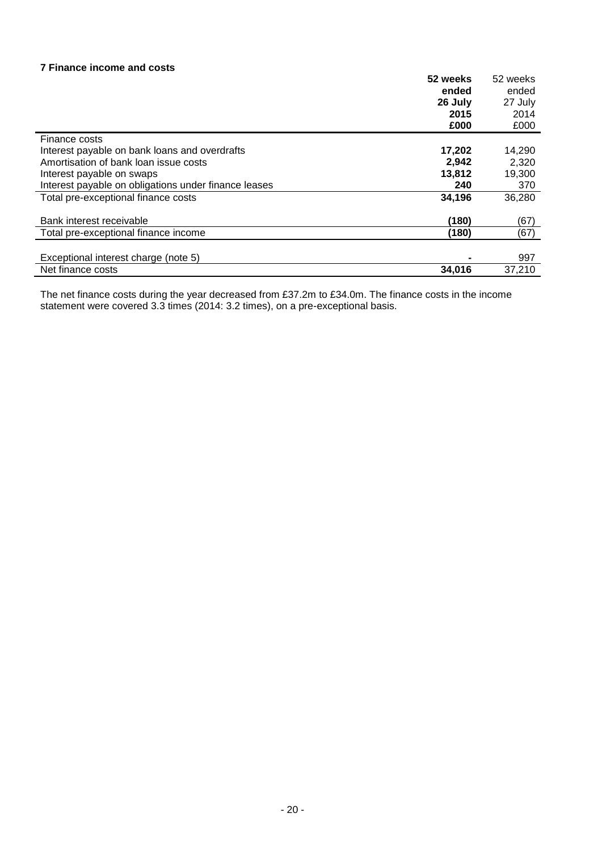# **7 Finance income and costs**

|                                                      | 52 weeks | 52 weeks |
|------------------------------------------------------|----------|----------|
|                                                      | ended    | ended    |
|                                                      | 26 July  | 27 July  |
|                                                      | 2015     | 2014     |
|                                                      | £000     | £000     |
| Finance costs                                        |          |          |
| Interest payable on bank loans and overdrafts        | 17,202   | 14,290   |
| Amortisation of bank loan issue costs                | 2,942    | 2,320    |
| Interest payable on swaps                            | 13.812   | 19,300   |
| Interest payable on obligations under finance leases | 240      | 370      |
| Total pre-exceptional finance costs                  | 34,196   | 36,280   |
| Bank interest receivable                             | (180)    | (67)     |
| Total pre-exceptional finance income                 | (180)    | (67)     |
|                                                      |          |          |
| Exceptional interest charge (note 5)                 |          | 997      |
| Net finance costs                                    | 34,016   | 37,210   |

The net finance costs during the year decreased from £37.2m to £34.0m. The finance costs in the income statement were covered 3.3 times (2014: 3.2 times), on a pre-exceptional basis.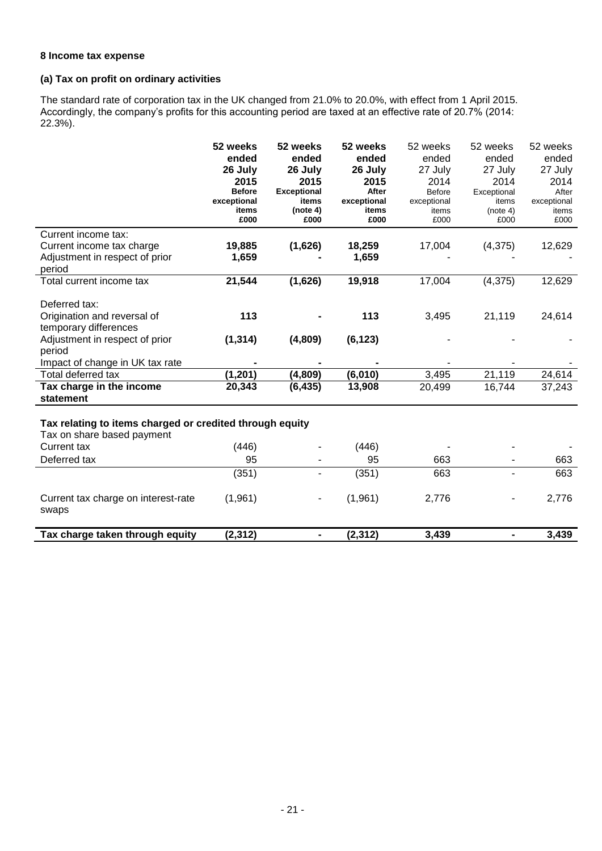### **8 Income tax expense**

# **(a) Tax on profit on ordinary activities**

The standard rate of corporation tax in the UK changed from 21.0% to 20.0%, with effect from 1 April 2015. Accordingly, the company's profits for this accounting period are taxed at an effective rate of 20.7% (2014: 22.3%).

|                                                                                                                   | 52 weeks<br>ended<br>26 July<br>2015<br><b>Before</b><br>exceptional<br>items<br>£000 | 52 weeks<br>ended<br>26 July<br>2015<br><b>Exceptional</b><br>items<br>(note 4)<br>£000 | 52 weeks<br>ended<br>26 July<br>2015<br>After<br>exceptional<br>items<br>£000 | 52 weeks<br>ended<br>27 July<br>2014<br><b>Before</b><br>exceptional<br>items<br>£000 | 52 weeks<br>ended<br>27 July<br>2014<br>Exceptional<br>items<br>(note 4)<br>£000 | 52 weeks<br>ended<br>27 July<br>2014<br>After<br>exceptional<br>items<br>£000 |
|-------------------------------------------------------------------------------------------------------------------|---------------------------------------------------------------------------------------|-----------------------------------------------------------------------------------------|-------------------------------------------------------------------------------|---------------------------------------------------------------------------------------|----------------------------------------------------------------------------------|-------------------------------------------------------------------------------|
| Current income tax:<br>Current income tax charge<br>Adjustment in respect of prior<br>period                      | 19,885<br>1,659                                                                       | (1,626)                                                                                 | 18,259<br>1,659                                                               | 17,004                                                                                | (4, 375)                                                                         | 12,629                                                                        |
| Total current income tax                                                                                          | 21,544                                                                                | (1,626)                                                                                 | 19,918                                                                        | 17,004                                                                                | (4, 375)                                                                         | 12,629                                                                        |
| Deferred tax:<br>Origination and reversal of<br>temporary differences<br>Adjustment in respect of prior<br>period | 113<br>(1, 314)                                                                       | (4,809)                                                                                 | 113<br>(6, 123)                                                               | 3,495                                                                                 | 21,119                                                                           | 24,614                                                                        |
| Impact of change in UK tax rate                                                                                   |                                                                                       |                                                                                         |                                                                               |                                                                                       |                                                                                  |                                                                               |
| Total deferred tax                                                                                                | (1, 201)                                                                              | (4,809)                                                                                 | (6,010)                                                                       | 3,495                                                                                 | 21,119                                                                           | 24,614                                                                        |
| Tax charge in the income<br>statement                                                                             | 20,343                                                                                | (6, 435)                                                                                | 13,908                                                                        | 20,499                                                                                | 16,744                                                                           | 37,243                                                                        |
| Tax relating to items charged or credited through equity<br>Tax on share based payment                            |                                                                                       |                                                                                         |                                                                               |                                                                                       |                                                                                  |                                                                               |
| <b>Current tax</b>                                                                                                | (446)                                                                                 |                                                                                         | (446)                                                                         |                                                                                       |                                                                                  |                                                                               |
| Deferred tax                                                                                                      | 95                                                                                    |                                                                                         | 95                                                                            | 663                                                                                   |                                                                                  | 663                                                                           |
|                                                                                                                   | (351)                                                                                 | $\overline{\phantom{a}}$                                                                | (351)                                                                         | 663                                                                                   | ۰                                                                                | 663                                                                           |
| Current tax charge on interest-rate<br>swaps                                                                      | (1,961)                                                                               |                                                                                         | (1,961)                                                                       | 2,776                                                                                 |                                                                                  | 2,776                                                                         |
| Tax charge taken through equity                                                                                   | (2, 312)                                                                              | $\blacksquare$                                                                          | (2, 312)                                                                      | 3,439                                                                                 |                                                                                  | 3,439                                                                         |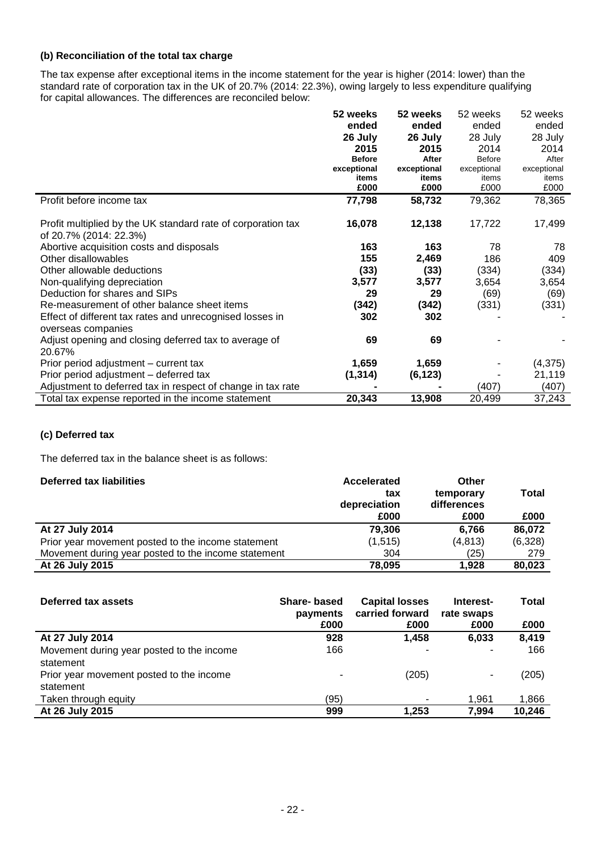# **(b) Reconciliation of the total tax charge**

The tax expense after exceptional items in the income statement for the year is higher (2014: lower) than the standard rate of corporation tax in the UK of 20.7% (2014: 22.3%), owing largely to less expenditure qualifying for capital allowances. The differences are reconciled below:

|                                                              | 52 weeks      | 52 weeks      | 52 weeks      | 52 weeks      |
|--------------------------------------------------------------|---------------|---------------|---------------|---------------|
|                                                              | ended         | ended         | ended         | ended         |
|                                                              | 26 July       | 26 July       | 28 July       | 28 July       |
|                                                              | 2015          | 2015          | 2014          | 2014          |
|                                                              | <b>Before</b> | After         | <b>Before</b> | After         |
|                                                              | exceptional   | exceptional   | exceptional   | exceptional   |
|                                                              | items<br>£000 | items<br>£000 | items<br>£000 | items<br>£000 |
|                                                              |               |               |               |               |
| Profit before income tax                                     | 77,798        | 58,732        | 79,362        | 78,365        |
| Profit multiplied by the UK standard rate of corporation tax | 16,078        | 12,138        | 17,722        | 17,499        |
| of 20.7% (2014: 22.3%)                                       |               |               |               |               |
| Abortive acquisition costs and disposals                     | 163           | 163           | 78            | 78            |
| Other disallowables                                          | 155           | 2,469         | 186           | 409           |
| Other allowable deductions                                   | (33)          | (33)          | (334)         | (334)         |
| Non-qualifying depreciation                                  | 3,577         | 3,577         | 3,654         | 3,654         |
| Deduction for shares and SIPs                                | 29            | 29            | (69)          | (69)          |
| Re-measurement of other balance sheet items                  | (342)         | (342)         | (331)         | (331)         |
| Effect of different tax rates and unrecognised losses in     | 302           | 302           |               |               |
| overseas companies                                           |               |               |               |               |
| Adjust opening and closing deferred tax to average of        | 69            | 69            |               |               |
| 20.67%                                                       |               |               |               |               |
| Prior period adjustment – current tax                        | 1,659         | 1,659         |               | (4, 375)      |
| Prior period adjustment – deferred tax                       | (1, 314)      | (6, 123)      |               | 21,119        |
| Adjustment to deferred tax in respect of change in tax rate  |               |               | (407)         | (407)         |
| Total tax expense reported in the income statement           | 20,343        | 13,908        | 20,499        | 37,243        |

### **(c) Deferred tax**

The deferred tax in the balance sheet is as follows:

| Deferred tax liabilities                            | Accelerated<br>tax<br>depreciation | Other<br>temporary<br>differences | Total   |
|-----------------------------------------------------|------------------------------------|-----------------------------------|---------|
|                                                     | £000                               | £000                              | £000    |
| At 27 July 2014                                     | 79.306                             | 6.766                             | 86,072  |
| Prior year movement posted to the income statement  | (1, 515)                           | (4, 813)                          | (6,328) |
| Movement during year posted to the income statement | 304                                | (25)                              | 279     |
| At 26 July 2015                                     | 78.095                             | 1.928                             | 80.023  |

| Deferred tax assets                                    | Share-based<br>payments | <b>Capital losses</b><br>carried forward | Interest-<br>rate swaps | Total  |
|--------------------------------------------------------|-------------------------|------------------------------------------|-------------------------|--------|
|                                                        | £000                    | £000                                     | £000                    | £000   |
| At 27 July 2014                                        | 928                     | 1.458                                    | 6,033                   | 8,419  |
| Movement during year posted to the income<br>statement | 166                     |                                          |                         | 166    |
| Prior year movement posted to the income<br>statement  | ۰                       | (205)                                    | ۰                       | (205)  |
| Taken through equity                                   | (95)                    |                                          | 1.961                   | 1,866  |
| At 26 July 2015                                        | 999                     | 1.253                                    | 7.994                   | 10,246 |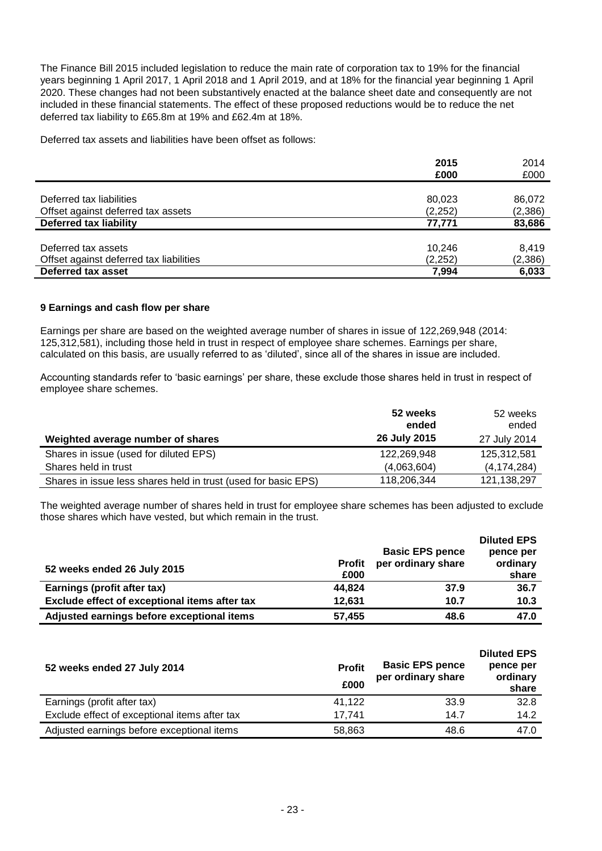The Finance Bill 2015 included legislation to reduce the main rate of corporation tax to 19% for the financial years beginning 1 April 2017, 1 April 2018 and 1 April 2019, and at 18% for the financial year beginning 1 April 2020. These changes had not been substantively enacted at the balance sheet date and consequently are not included in these financial statements. The effect of these proposed reductions would be to reduce the net deferred tax liability to £65.8m at 19% and £62.4m at 18%.

Deferred tax assets and liabilities have been offset as follows:

|                                         | 2015<br>£000 | 2014<br>£000 |
|-----------------------------------------|--------------|--------------|
|                                         |              |              |
| Deferred tax liabilities                | 80,023       | 86,072       |
| Offset against deferred tax assets      | (2,252)      | (2,386)      |
| <b>Deferred tax liability</b>           | 77.771       | 83,686       |
|                                         |              |              |
| Deferred tax assets                     | 10,246       | 8,419        |
| Offset against deferred tax liabilities | (2, 252)     | (2,386)      |
| Deferred tax asset                      | 7,994        | 6,033        |

#### **9 Earnings and cash flow per share**

Earnings per share are based on the weighted average number of shares in issue of 122,269,948 (2014: 125,312,581), including those held in trust in respect of employee share schemes. Earnings per share, calculated on this basis, are usually referred to as 'diluted', since all of the shares in issue are included.

Accounting standards refer to 'basic earnings' per share, these exclude those shares held in trust in respect of employee share schemes.

| Weighted average number of shares                              | 52 weeks<br>ended<br>26 July 2015 | 52 weeks<br>ended<br>27 July 2014 |
|----------------------------------------------------------------|-----------------------------------|-----------------------------------|
| Shares in issue (used for diluted EPS)                         | 122,269,948                       | 125,312,581                       |
| Shares held in trust                                           | (4,063,604)                       | (4, 174, 284)                     |
| Shares in issue less shares held in trust (used for basic EPS) | 118,206,344                       | 121,138,297                       |

The weighted average number of shares held in trust for employee share schemes has been adjusted to exclude those shares which have vested, but which remain in the trust.

|                                               |                       | <b>Basic EPS pence</b> | <b>Diluted EPS</b><br>pence per |
|-----------------------------------------------|-----------------------|------------------------|---------------------------------|
| 52 weeks ended 26 July 2015                   | <b>Profit</b><br>£000 | per ordinary share     | ordinary<br>share               |
| Earnings (profit after tax)                   | 44.824                | 37.9                   | 36.7                            |
| Exclude effect of exceptional items after tax | 12.631                | 10.7                   | 10.3                            |
| Adjusted earnings before exceptional items    | 57,455                | 48.6                   | 47.0                            |

| 52 weeks ended 27 July 2014                   | <b>Profit</b><br>£000 | <b>Basic EPS pence</b><br>per ordinary share | <b>Diluted EPS</b><br>pence per<br>ordinary<br>share |
|-----------------------------------------------|-----------------------|----------------------------------------------|------------------------------------------------------|
| Earnings (profit after tax)                   | 41,122                | 33.9                                         | 32.8                                                 |
| Exclude effect of exceptional items after tax | 17.741                | 14.7                                         | 14.2                                                 |
| Adjusted earnings before exceptional items    | 58,863                | 48.6                                         | 47.0                                                 |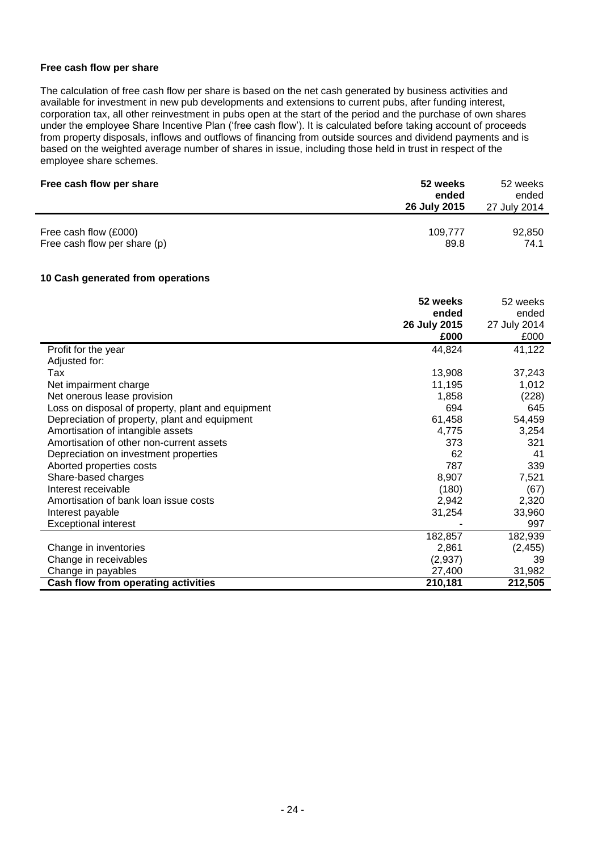#### **Free cash flow per share**

The calculation of free cash flow per share is based on the net cash generated by business activities and available for investment in new pub developments and extensions to current pubs, after funding interest, corporation tax, all other reinvestment in pubs open at the start of the period and the purchase of own shares under the employee Share Incentive Plan ('free cash flow'). It is calculated before taking account of proceeds from property disposals, inflows and outflows of financing from outside sources and dividend payments and is based on the weighted average number of shares in issue, including those held in trust in respect of the employee share schemes.

### **Free cash flow per share 52 weeks**

|                              | ended<br>26 July 2015 | ended<br>27 July 2014 |
|------------------------------|-----------------------|-----------------------|
| Free cash flow (£000)        | 109.777               | 92,850                |
| Free cash flow per share (p) | 89.8                  | 74.1                  |

52 weeks

#### **10 Cash generated from operations**

|                                                   | 52 weeks     | 52 weeks     |
|---------------------------------------------------|--------------|--------------|
|                                                   | ended        | ended        |
|                                                   | 26 July 2015 | 27 July 2014 |
|                                                   | £000         | £000         |
| Profit for the year                               | 44,824       | 41,122       |
| Adjusted for:                                     |              |              |
| Tax                                               | 13,908       | 37,243       |
| Net impairment charge                             | 11,195       | 1,012        |
| Net onerous lease provision                       | 1,858        | (228)        |
| Loss on disposal of property, plant and equipment | 694          | 645          |
| Depreciation of property, plant and equipment     | 61,458       | 54,459       |
| Amortisation of intangible assets                 | 4,775        | 3,254        |
| Amortisation of other non-current assets          | 373          | 321          |
| Depreciation on investment properties             | 62           | 41           |
| Aborted properties costs                          | 787          | 339          |
| Share-based charges                               | 8,907        | 7,521        |
| Interest receivable                               | (180)        | (67)         |
| Amortisation of bank loan issue costs             | 2,942        | 2,320        |
| Interest payable                                  | 31,254       | 33,960       |
| <b>Exceptional interest</b>                       |              | 997          |
|                                                   | 182,857      | 182,939      |
| Change in inventories                             | 2,861        | (2, 455)     |
| Change in receivables                             | (2,937)      | 39           |
| Change in payables                                | 27,400       | 31,982       |
| Cash flow from operating activities               | 210,181      | 212,505      |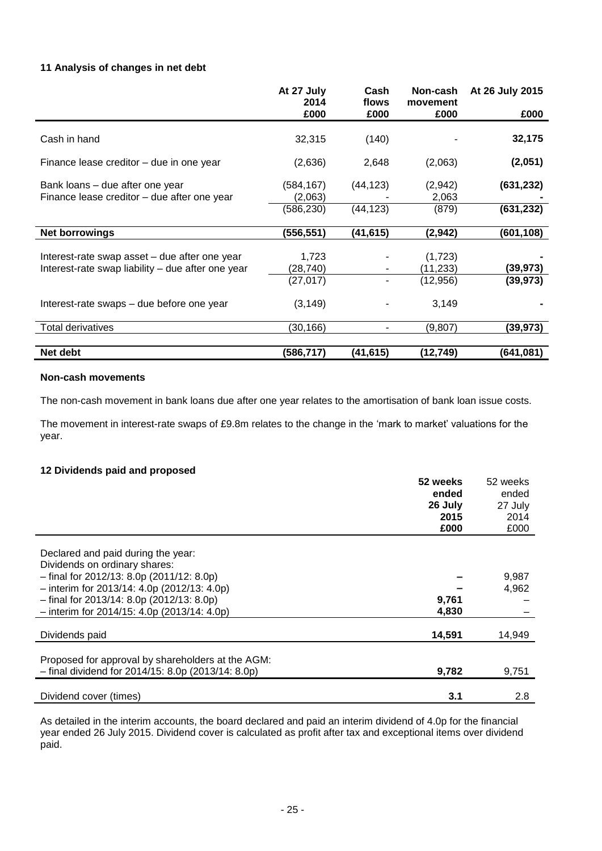### **11 Analysis of changes in net debt**

|                                                                                                    | At 27 July<br>2014<br>£000          | Cash<br>flows<br>£000  | Non-cash<br>movement<br>£000      | At 26 July 2015<br>£000  |
|----------------------------------------------------------------------------------------------------|-------------------------------------|------------------------|-----------------------------------|--------------------------|
| Cash in hand                                                                                       | 32,315                              | (140)                  |                                   | 32,175                   |
| Finance lease creditor – due in one year                                                           | (2,636)                             | 2,648                  | (2,063)                           | (2,051)                  |
| Bank loans – due after one year<br>Finance lease creditor - due after one year                     | (584, 167)<br>(2,063)<br>(586, 230) | (44, 123)<br>(44, 123) | (2,942)<br>2,063<br>(879)         | (631, 232)<br>(631, 232) |
| <b>Net borrowings</b>                                                                              | (556,551)                           | (41, 615)              | (2,942)                           | (601,108)                |
| Interest-rate swap asset - due after one year<br>Interest-rate swap liability – due after one year | 1,723<br>(28, 740)<br>(27, 017)     |                        | (1,723)<br>(11, 233)<br>(12, 956) | (39,973)<br>(39,973)     |
| Interest-rate swaps – due before one year                                                          | (3, 149)                            |                        | 3,149                             |                          |
| Total derivatives                                                                                  | (30, 166)                           |                        | (9,807)                           | (39,973)                 |
| Net debt                                                                                           | (586,717)                           | (41,615)               | (12, 749)                         | (641,081)                |

#### **Non-cash movements**

The non-cash movement in bank loans due after one year relates to the amortisation of bank loan issue costs.

The movement in interest-rate swaps of £9.8m relates to the change in the 'mark to market' valuations for the year.

# **12 Dividends paid and proposed**

|                                                                              | 52 weeks<br>ended | 52 weeks<br>ended |
|------------------------------------------------------------------------------|-------------------|-------------------|
|                                                                              | 26 July           | 27 July           |
|                                                                              | 2015              | 2014              |
|                                                                              | £000              | £000              |
| Declared and paid during the year:                                           |                   |                   |
| Dividends on ordinary shares:<br>$-$ final for 2012/13: 8.0p (2011/12: 8.0p) |                   | 9,987             |
| $-$ interim for 2013/14: 4.0p (2012/13: 4.0p)                                |                   | 4,962             |
| $-$ final for 2013/14: 8.0p (2012/13: 8.0p)                                  | 9,761             |                   |
| $-$ interim for 2014/15: 4.0p (2013/14: 4.0p)                                | 4,830             |                   |
| Dividends paid                                                               | 14,591            | 14,949            |
| Proposed for approval by shareholders at the AGM:                            |                   |                   |
| $-$ final dividend for 2014/15: 8.0p (2013/14: 8.0p)                         | 9,782             | 9,751             |
| Dividend cover (times)                                                       | 3.1               | 2.8               |

As detailed in the interim accounts, the board declared and paid an interim dividend of 4.0p for the financial year ended 26 July 2015. Dividend cover is calculated as profit after tax and exceptional items over dividend paid.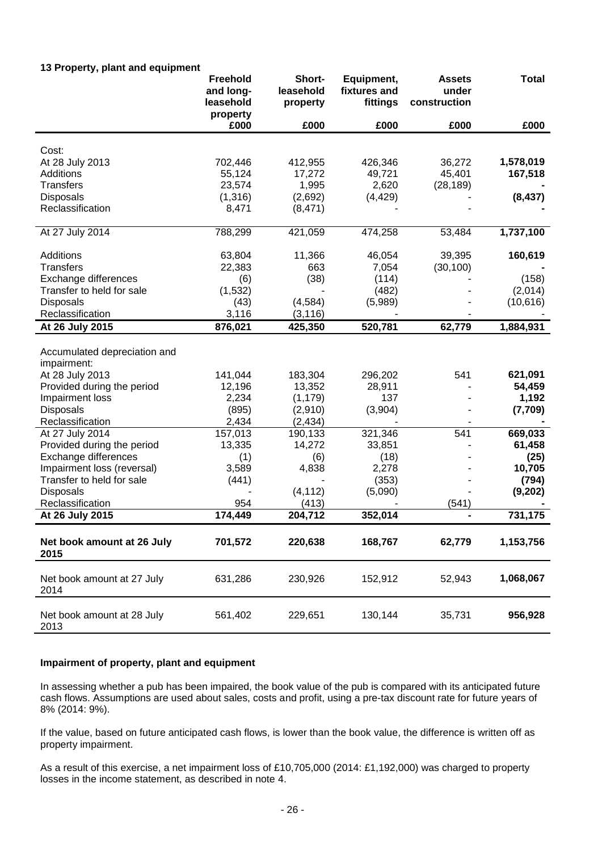#### **13 Property, plant and equipment**

|                                             | Freehold<br>and long- | Short-<br>leasehold | Equipment,<br>fixtures and | <b>Assets</b><br>under | <b>Total</b> |
|---------------------------------------------|-----------------------|---------------------|----------------------------|------------------------|--------------|
|                                             | leasehold<br>property | property            | fittings                   | construction           |              |
|                                             | £000                  | £000                | £000                       | £000                   | £000         |
| Cost:                                       |                       |                     |                            |                        |              |
| At 28 July 2013                             | 702,446               | 412,955             | 426,346                    | 36,272                 | 1,578,019    |
| Additions                                   | 55,124                | 17,272              | 49,721                     | 45,401                 | 167,518      |
| <b>Transfers</b>                            | 23,574                | 1,995               | 2,620                      | (28, 189)              |              |
| Disposals                                   | (1,316)               | (2,692)             | (4, 429)                   |                        | (8, 437)     |
| Reclassification                            | 8,471                 | (8, 471)            |                            |                        |              |
| At 27 July 2014                             | 788,299               | 421,059             | 474,258                    | 53,484                 | 1,737,100    |
| Additions                                   | 63,804                | 11,366              | 46,054                     | 39,395                 | 160,619      |
| <b>Transfers</b>                            | 22,383                | 663                 | 7,054                      | (30, 100)              |              |
| Exchange differences                        | (6)                   | (38)                | (114)                      |                        | (158)        |
| Transfer to held for sale                   | (1,532)               |                     | (482)                      |                        | (2,014)      |
| <b>Disposals</b>                            | (43)                  | (4, 584)            | (5,989)                    |                        | (10, 616)    |
| Reclassification                            | 3,116                 | (3, 116)            |                            |                        |              |
| At 26 July 2015                             | 876,021               | 425,350             | 520,781                    | 62,779                 | 1,884,931    |
| Accumulated depreciation and<br>impairment: |                       |                     |                            |                        |              |
| At 28 July 2013                             | 141,044               | 183,304             | 296,202                    | 541                    | 621,091      |
| Provided during the period                  | 12,196                | 13,352              | 28,911                     |                        | 54,459       |
| Impairment loss                             | 2,234                 | (1, 179)            | 137                        |                        | 1,192        |
| <b>Disposals</b>                            | (895)                 | (2,910)             | (3,904)                    |                        | (7,709)      |
| Reclassification                            | 2,434                 | (2, 434)            |                            |                        |              |
| At 27 July 2014                             | 157,013               | 190,133             | 321,346                    | 541                    | 669,033      |
| Provided during the period                  | 13,335                | 14,272              | 33,851                     |                        | 61,458       |
| Exchange differences                        | (1)                   | (6)                 | (18)                       |                        | (25)         |
| Impairment loss (reversal)                  | 3,589                 | 4,838               | 2,278                      |                        | 10,705       |
| Transfer to held for sale                   | (441)                 |                     | (353)                      |                        | (794)        |
| <b>Disposals</b>                            |                       | (4, 112)            | (5,090)                    |                        | (9,202)      |
| Reclassification<br>At 26 July 2015         | 954<br>174,449        | (413)<br>204,712    | 352,014                    | (541)                  | 731,175      |
|                                             |                       |                     |                            |                        |              |
| Net book amount at 26 July<br>2015          | 701,572               | 220,638             | 168,767                    | 62,779                 | 1,153,756    |
| Net book amount at 27 July<br>2014          | 631,286               | 230,926             | 152,912                    | 52,943                 | 1,068,067    |
| Net book amount at 28 July<br>2013          | 561,402               | 229,651             | 130,144                    | 35,731                 | 956,928      |

#### **Impairment of property, plant and equipment**

In assessing whether a pub has been impaired, the book value of the pub is compared with its anticipated future cash flows. Assumptions are used about sales, costs and profit, using a pre-tax discount rate for future years of 8% (2014: 9%).

If the value, based on future anticipated cash flows, is lower than the book value, the difference is written off as property impairment.

As a result of this exercise, a net impairment loss of £10,705,000 (2014: £1,192,000) was charged to property losses in the income statement, as described in note 4.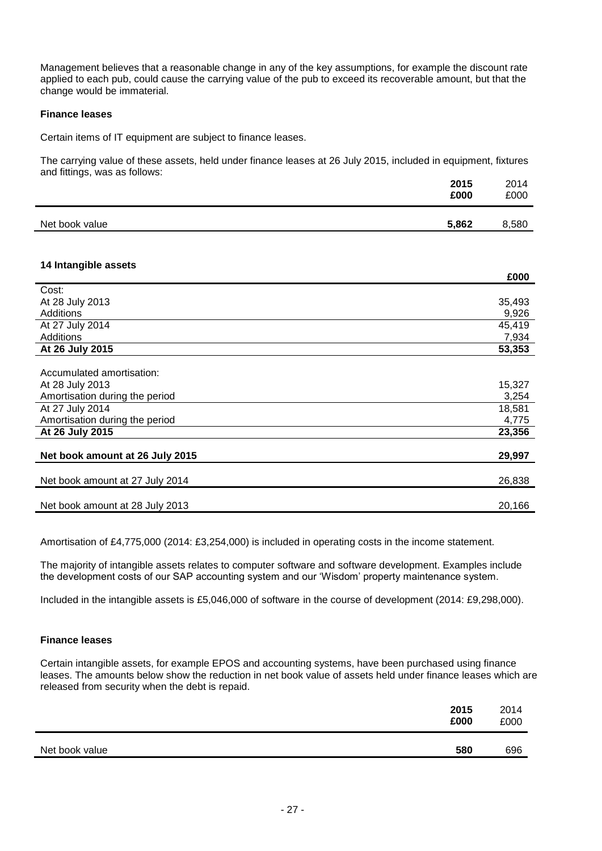Management believes that a reasonable change in any of the key assumptions, for example the discount rate applied to each pub, could cause the carrying value of the pub to exceed its recoverable amount, but that the change would be immaterial.

#### **Finance leases**

Certain items of IT equipment are subject to finance leases.

The carrying value of these assets, held under finance leases at 26 July 2015, included in equipment, fixtures and fittings, was as follows: **2015** 2014

|                | ZUIJ<br>£000 | 2014<br>£000 |
|----------------|--------------|--------------|
| Net book value | 5,862        | 8,580        |

#### **14 Intangible assets**

|                                 | £000   |
|---------------------------------|--------|
| Cost:                           |        |
| At 28 July 2013                 | 35,493 |
| Additions                       | 9,926  |
| At 27 July 2014                 | 45,419 |
| Additions                       | 7,934  |
| At 26 July 2015                 | 53,353 |
|                                 |        |
| Accumulated amortisation:       |        |
| At 28 July 2013                 | 15,327 |
| Amortisation during the period  | 3,254  |
| At 27 July 2014                 | 18,581 |
| Amortisation during the period  | 4,775  |
| At 26 July 2015                 | 23,356 |
|                                 |        |
| Net book amount at 26 July 2015 | 29,997 |
|                                 |        |
| Net book amount at 27 July 2014 | 26,838 |
|                                 |        |
| Net book amount at 28 July 2013 | 20,166 |

Amortisation of £4,775,000 (2014: £3,254,000) is included in operating costs in the income statement.

The majority of intangible assets relates to computer software and software development. Examples include the development costs of our SAP accounting system and our 'Wisdom' property maintenance system.

Included in the intangible assets is £5,046,000 of software in the course of development (2014: £9,298,000).

#### **Finance leases**

Certain intangible assets, for example EPOS and accounting systems, have been purchased using finance leases. The amounts below show the reduction in net book value of assets held under finance leases which are released from security when the debt is repaid.

|                | 2015<br>£000 | 2014<br>£000 |
|----------------|--------------|--------------|
| Net book value | 580          | 696          |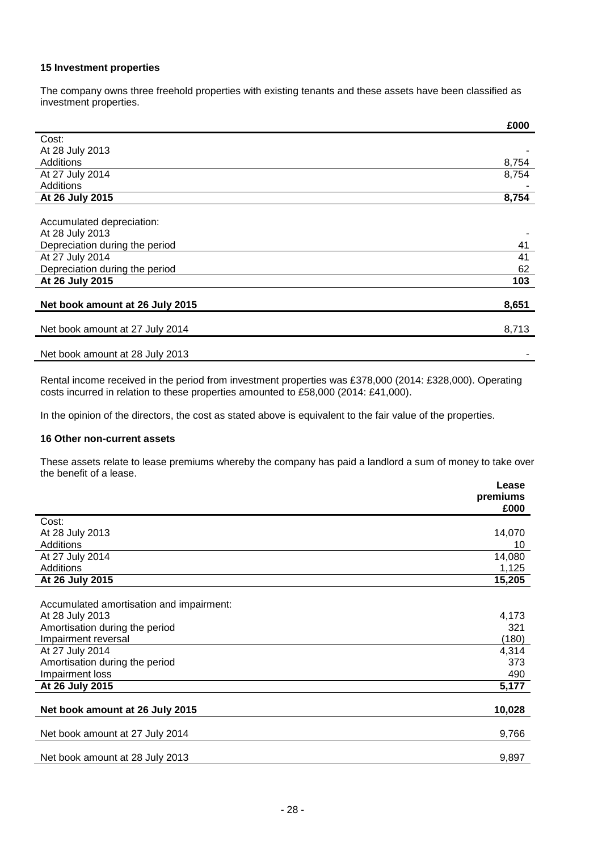#### **15 Investment properties**

The company owns three freehold properties with existing tenants and these assets have been classified as investment properties.

|                                 | £000  |
|---------------------------------|-------|
| Cost:                           |       |
| At 28 July 2013                 |       |
| Additions                       | 8,754 |
| At 27 July 2014                 | 8,754 |
| Additions                       |       |
| At 26 July 2015                 | 8,754 |
|                                 |       |
| Accumulated depreciation:       |       |
| At 28 July 2013                 |       |
| Depreciation during the period  | 41    |
| At 27 July 2014                 | 41    |
| Depreciation during the period  | 62    |
| At 26 July 2015                 | 103   |
|                                 |       |
| Net book amount at 26 July 2015 | 8,651 |
|                                 |       |
| Net book amount at 27 July 2014 | 8,713 |
|                                 |       |
| Net book amount at 28 July 2013 |       |

Rental income received in the period from investment properties was £378,000 (2014: £328,000). Operating costs incurred in relation to these properties amounted to £58,000 (2014: £41,000).

In the opinion of the directors, the cost as stated above is equivalent to the fair value of the properties.

# **16 Other non-current assets**

These assets relate to lease premiums whereby the company has paid a landlord a sum of money to take over the benefit of a lease.

|                                          | Lease            |
|------------------------------------------|------------------|
|                                          | premiums<br>£000 |
| Cost:                                    |                  |
| At 28 July 2013                          | 14,070           |
| Additions                                | 10               |
| At 27 July 2014                          | 14,080           |
| Additions                                | 1,125            |
| At 26 July 2015                          | 15,205           |
|                                          |                  |
| Accumulated amortisation and impairment: |                  |
| At 28 July 2013                          | 4,173            |
| Amortisation during the period           | 321              |
| Impairment reversal                      | (180)            |
| At 27 July 2014                          | 4,314            |
| Amortisation during the period           | 373              |
| Impairment loss                          | 490              |
| At 26 July 2015                          | 5,177            |
|                                          |                  |
| Net book amount at 26 July 2015          | 10,028           |
| Net book amount at 27 July 2014          | 9,766            |
|                                          |                  |
| Net book amount at 28 July 2013          | 9,897            |